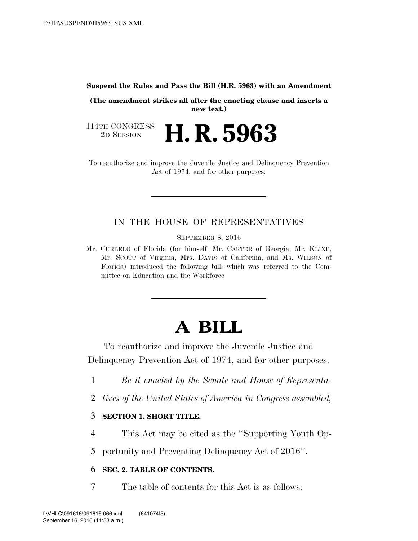#### **Suspend the Rules and Pass the Bill (H.R. 5963) with an Amendment**

**(The amendment strikes all after the enacting clause and inserts a new text.)**

114TH CONGRESS<br>2D SESSION 2D SESSION **H. R. 5963**

To reauthorize and improve the Juvenile Justice and Delinquency Prevention Act of 1974, and for other purposes.

# IN THE HOUSE OF REPRESENTATIVES

SEPTEMBER 8, 2016

Mr. CURBELO of Florida (for himself, Mr. CARTER of Georgia, Mr. KLINE, Mr. SCOTT of Virginia, Mrs. DAVIS of California, and Ms. WILSON of Florida) introduced the following bill; which was referred to the Committee on Education and the Workforce

# **A BILL**

To reauthorize and improve the Juvenile Justice and Delinquency Prevention Act of 1974, and for other purposes.

- 1 *Be it enacted by the Senate and House of Representa-*
- 2 *tives of the United States of America in Congress assembled,*

# 3 **SECTION 1. SHORT TITLE.**

- 4 This Act may be cited as the ''Supporting Youth Op-
- 5 portunity and Preventing Delinquency Act of 2016''.

## 6 **SEC. 2. TABLE OF CONTENTS.**

7 The table of contents for this Act is as follows: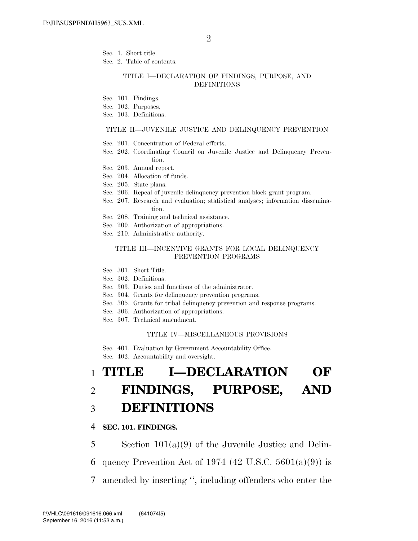Sec. 1. Short title.

Sec. 2. Table of contents.

#### TITLE I—DECLARATION OF FINDINGS, PURPOSE, AND DEFINITIONS

- Sec. 101. Findings.
- Sec. 102. Purposes.
- Sec. 103. Definitions.

#### TITLE II—JUVENILE JUSTICE AND DELINQUENCY PREVENTION

- Sec. 201. Concentration of Federal efforts.
- Sec. 202. Coordinating Council on Juvenile Justice and Delinquency Prevention.
- Sec. 203. Annual report.
- Sec. 204. Allocation of funds.
- Sec. 205. State plans.
- Sec. 206. Repeal of juvenile delinquency prevention block grant program.
- Sec. 207. Research and evaluation; statistical analyses; information dissemination.
- Sec. 208. Training and technical assistance.
- Sec. 209. Authorization of appropriations.
- Sec. 210. Administrative authority.

### TITLE III—INCENTIVE GRANTS FOR LOCAL DELINQUENCY PREVENTION PROGRAMS

- Sec. 301. Short Title.
- Sec. 302. Definitions.
- Sec. 303. Duties and functions of the administrator.
- Sec. 304. Grants for delinquency prevention programs.
- Sec. 305. Grants for tribal delinquency prevention and response programs.
- Sec. 306. Authorization of appropriations.
- Sec. 307. Technical amendment.

#### TITLE IV—MISCELLANEOUS PROVISIONS

Sec. 401. Evaluation by Government Accountability Office. Sec. 402. Accountability and oversight.

# 1 **TITLE I—DECLARATION OF**  2 **FINDINGS, PURPOSE, AND**  3 **DEFINITIONS**

## 4 **SEC. 101. FINDINGS.**

5 Section 101(a)(9) of the Juvenile Justice and Delin-

6 quency Prevention Act of 1974 (42 U.S.C.  $5601(a)(9)$ ) is

7 amended by inserting '', including offenders who enter the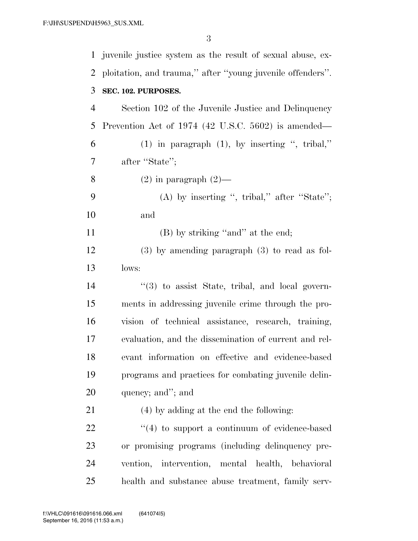|    | 1 juvenile justice system as the result of sexual abuse, ex-    |
|----|-----------------------------------------------------------------|
| 2  | ploitation, and trauma," after "young juvenile offenders".      |
| 3  | SEC. 102. PURPOSES.                                             |
| 4  | Section 102 of the Juvenile Justice and Delinquency             |
| 5  | Prevention Act of 1974 (42 U.S.C. 5602) is amended—             |
| 6  | $(1)$ in paragraph $(1)$ , by inserting ", tribal,"             |
| 7  | after "State";                                                  |
| 8  | $(2)$ in paragraph $(2)$ —                                      |
| 9  | $(A)$ by inserting ", tribal," after "State";                   |
| 10 | and                                                             |
| 11 | (B) by striking "and" at the end;                               |
| 12 | $(3)$ by amending paragraph $(3)$ to read as fol-               |
| 13 | lows:                                                           |
| 14 | $\cdot\cdot\cdot(3)$ to assist State, tribal, and local govern- |
| 15 | ments in addressing juvenile crime through the pro-             |
| 16 | vision of technical assistance, research, training,             |
| 17 | evaluation, and the dissemination of current and rel-           |
| 18 | evant information on effective and evidence-based               |
| 19 | programs and practices for combating juvenile delin-            |
| 20 | quency; and"; and                                               |
| 21 | $(4)$ by adding at the end the following:                       |
| 22 | $\lq(4)$ to support a continuum of evidence-based               |
| 23 | or promising programs (including delinquency pre-               |
| 24 | vention, intervention, mental health, behavioral                |
| 25 | health and substance abuse treatment, family serv-              |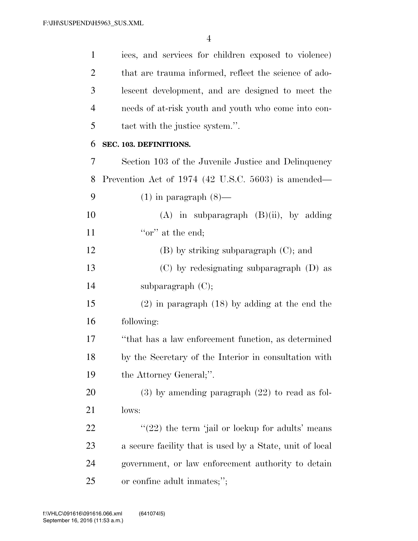ices, and services for children exposed to violence) 2 that are trauma informed, reflect the science of ado- lescent development, and are designed to meet the needs of at-risk youth and youth who come into con- tact with the justice system.''. **SEC. 103. DEFINITIONS.**  Section 103 of the Juvenile Justice and Delinquency Prevention Act of 1974 (42 U.S.C. 5603) is amended—  $(1)$  in paragraph  $(8)$ — 10 (A) in subparagraph  $(B)(ii)$ , by adding  $"or"$  at the end: 12 (B) by striking subparagraph  $(C)$ ; and (C) by redesignating subparagraph (D) as subparagraph (C); (2) in paragraph (18) by adding at the end the following: ''that has a law enforcement function, as determined by the Secretary of the Interior in consultation with the Attorney General;''. (3) by amending paragraph (22) to read as fol- lows:  $\qquad$   $\qquad$   $\qquad$   $\qquad$   $\qquad$   $\qquad$   $\qquad$   $\qquad$   $\qquad$   $\qquad$   $\qquad$   $\qquad$   $\qquad$   $\qquad$   $\qquad$   $\qquad$   $\qquad$   $\qquad$   $\qquad$   $\qquad$   $\qquad$   $\qquad$   $\qquad$   $\qquad$   $\qquad$   $\qquad$   $\qquad$   $\qquad$   $\qquad$   $\qquad$   $\qquad$   $\qquad$   $\qquad$   $\qquad$   $\qquad$   $\qquad$  a secure facility that is used by a State, unit of local government, or law enforcement authority to detain

or confine adult inmates;'';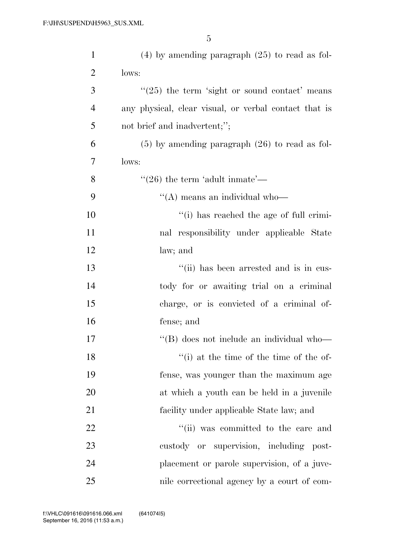| $\mathbf{1}$   | $(4)$ by amending paragraph $(25)$ to read as fol-       |
|----------------|----------------------------------------------------------|
| $\overline{2}$ | lows:                                                    |
| 3              | $\cdot\cdot(25)$ the term 'sight or sound contact' means |
| $\overline{4}$ | any physical, clear visual, or verbal contact that is    |
| 5              | not brief and inadvertent;";                             |
| 6              | $(5)$ by amending paragraph $(26)$ to read as fol-       |
| 7              | lows:                                                    |
| 8              | $\cdot\cdot(26)$ the term 'adult inmate'—                |
| 9              | $\lq\lq$ means an individual who-                        |
| 10             | "(i) has reached the age of full crimi-                  |
| 11             | nal responsibility under applicable State                |
| 12             | law; and                                                 |
| 13             | "(ii) has been arrested and is in cus-                   |
| 14             | tody for or awaiting trial on a criminal                 |
| 15             | charge, or is convicted of a criminal of-                |
| 16             | fense; and                                               |
| 17             | "(B) does not include an individual who-                 |
| 18             | "(i) at the time of the time of the of-                  |
| 19             | fense, was younger than the maximum age                  |
| 20             | at which a youth can be held in a juvenile               |
| 21             | facility under applicable State law; and                 |
| 22             | "(ii) was committed to the care and                      |
| 23             | custody or supervision, including post-                  |
| 24             | placement or parole supervision, of a juve-              |
| 25             | nile correctional agency by a court of com-              |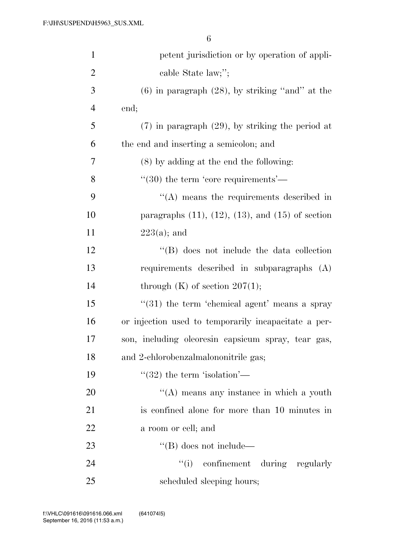| $\mathbf{1}$   | petent jurisdiction or by operation of appli-               |
|----------------|-------------------------------------------------------------|
| $\overline{2}$ | cable State law;";                                          |
| 3              | $(6)$ in paragraph $(28)$ , by striking "and" at the        |
| $\overline{4}$ | end;                                                        |
| 5              | $(7)$ in paragraph $(29)$ , by striking the period at       |
| 6              | the end and inserting a semicolon; and                      |
| 7              | $(8)$ by adding at the end the following:                   |
| 8              | $\cdot\cdot(30)$ the term 'core requirements'—              |
| 9              | $\lq\lq$ means the requirements described in                |
| 10             | paragraphs $(11)$ , $(12)$ , $(13)$ , and $(15)$ of section |
| 11             | $223(a)$ ; and                                              |
| 12             | $\lq\lq$ does not include the data collection               |
| 13             | requirements described in subparagraphs (A)                 |
| 14             | through $(K)$ of section $207(1)$ ;                         |
| 15             | $\cdot\cdot(31)$ the term 'chemical agent' means a spray    |
| 16             | or injection used to temporarily incapacitate a per-        |
| 17             | son, including oleoresin capsicum spray, tear gas,          |
| 18             | and 2-chlorobenzalmalononitrile gas;                        |
| 19             | $\cdot\cdot(32)$ the term 'isolation'—                      |
| 20             | $\lq\lq$ means any instance in which a youth                |
| 21             | is confined alone for more than 10 minutes in               |
| 22             | a room or cell; and                                         |
| 23             | $\lq\lq (B)$ does not include—                              |
| 24             | "(i) confinement during regularly                           |
| 25             | scheduled sleeping hours;                                   |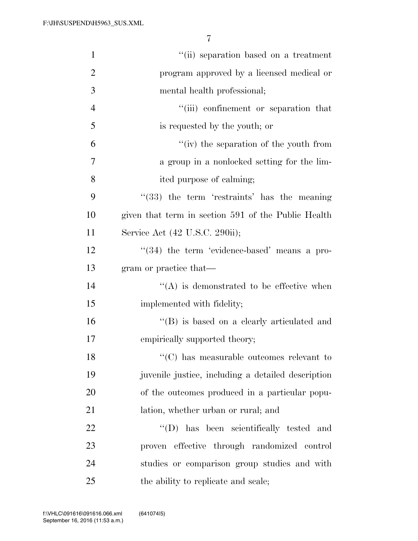| $\mathbf{1}$   | "(ii) separation based on a treatment                         |
|----------------|---------------------------------------------------------------|
| $\overline{2}$ | program approved by a licensed medical or                     |
| 3              | mental health professional;                                   |
| $\overline{4}$ | "(iii) confinement or separation that                         |
| 5              | is requested by the youth; or                                 |
| 6              | $f'(iv)$ the separation of the youth from                     |
| 7              | a group in a nonlocked setting for the lim-                   |
| 8              | ited purpose of calming;                                      |
| 9              | $\cdot$ (33) the term 'restraints' has the meaning            |
| 10             | given that term in section 591 of the Public Health           |
| 11             | Service Act (42 U.S.C. 290ii);                                |
| 12             | $\cdot$ (34) the term 'evidence-based' means a pro-           |
| 13             | gram or practice that—                                        |
| 14             | $\lq\lq$ is demonstrated to be effective when                 |
| 15             | implemented with fidelity;                                    |
| 16             | "(B) is based on a clearly articulated and                    |
| 17             | empirically supported theory;                                 |
| 18             | $\lq\lq$ <sup>*</sup> (C) has measurable outcomes relevant to |
| 19             | juvenile justice, including a detailed description            |
| 20             | of the outcomes produced in a particular popu-                |
| 21             | lation, whether urban or rural; and                           |
| 22             | "(D) has been scientifically tested and                       |
| 23             | proven effective through randomized control                   |
| 24             | studies or comparison group studies and with                  |
| 25             | the ability to replicate and scale;                           |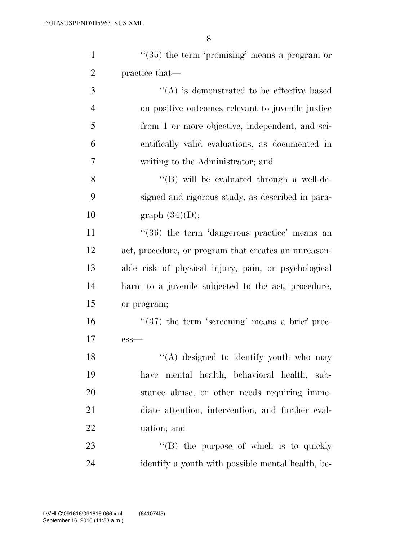| $\mathbf{1}$   | $\cdot\cdot(35)$ the term 'promising' means a program or |
|----------------|----------------------------------------------------------|
| $\overline{2}$ | practice that—                                           |
| 3              | $\lq\lq$ is demonstrated to be effective based           |
| $\overline{4}$ | on positive outcomes relevant to juvenile justice        |
| 5              | from 1 or more objective, independent, and sci-          |
| 6              | entifically valid evaluations, as documented in          |
| 7              | writing to the Administrator; and                        |
| 8              | "(B) will be evaluated through a well-de-                |
| 9              | signed and rigorous study, as described in para-         |
| 10             | graph $(34)(D)$ ;                                        |
| 11             | $\cdot$ (36) the term 'dangerous practice' means an      |
| 12             | act, procedure, or program that creates an unreason-     |
| 13             | able risk of physical injury, pain, or psychological     |
| 14             | harm to a juvenile subjected to the act, procedure,      |
| 15             | or program;                                              |
| 16             | $\lq(37)$ the term 'screening' means a brief proc-       |
| 17             | $ess-$                                                   |
| 18             | "(A) designed to identify youth who may                  |
| 19             | have mental health, behavioral health, sub-              |
| 20             | stance abuse, or other needs requiring imme-             |
| 21             | diate attention, intervention, and further eval-         |
| 22             | uation; and                                              |
| 23             | $\lq\lq$ the purpose of which is to quickly              |
| 24             | identify a youth with possible mental health, be-        |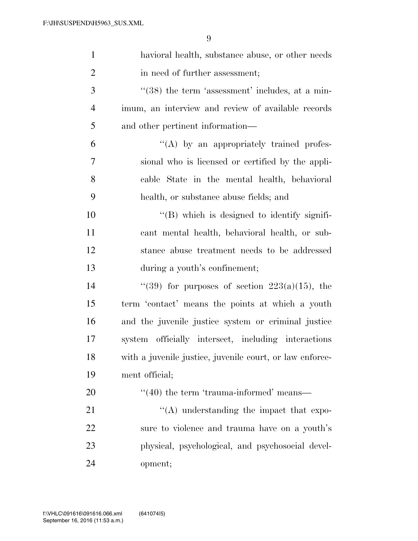| $\mathbf{1}$   | havioral health, substance abuse, or other needs           |
|----------------|------------------------------------------------------------|
| $\overline{2}$ | in need of further assessment;                             |
| 3              | $\cdot\cdot(38)$ the term 'assessment' includes, at a min- |
| $\overline{4}$ | imum, an interview and review of available records         |
| 5              | and other pertinent information—                           |
| 6              | $\lq\lq$ by an appropriately trained profes-               |
| 7              | sional who is licensed or certified by the appli-          |
| 8              | cable State in the mental health, behavioral               |
| 9              | health, or substance abuse fields; and                     |
| 10             | $\lq\lq (B)$ which is designed to identify signifi-        |
| 11             | cant mental health, behavioral health, or sub-             |
| 12             | stance abuse treatment needs to be addressed               |
| 13             | during a youth's confinement;                              |
| 14             | "(39) for purposes of section $223(a)(15)$ , the           |
| 15             | term 'contact' means the points at which a youth           |
| 16             | and the juvenile justice system or criminal justice        |
| 17             | system officially intersect, including interactions        |
| 18             | with a juvenile justice, juvenile court, or law enforce-   |
| 19             | ment official;                                             |
| 20             | $\cdot\cdot(40)$ the term 'trauma-informed' means—         |
| 21             | $\lq\lq$ understanding the impact that expo-               |
| 22             | sure to violence and trauma have on a youth's              |
| 23             | physical, psychological, and psychosocial devel-           |
| 24             |                                                            |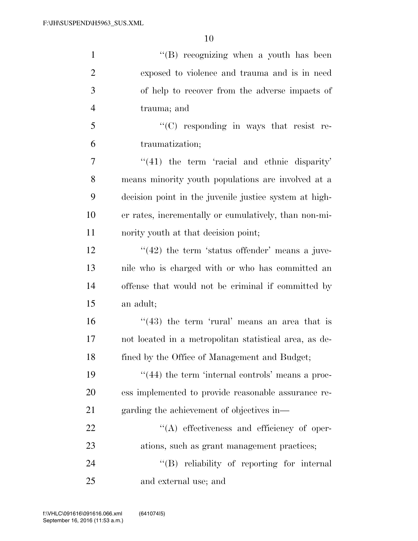| $\mathbf{1}$   | $\lq\lq(B)$ recognizing when a youth has been          |
|----------------|--------------------------------------------------------|
| $\overline{2}$ | exposed to violence and trauma and is in need          |
| 3              | of help to recover from the adverse impacts of         |
| $\overline{4}$ | trauma; and                                            |
| 5              | $\lq\lq$ responding in ways that resist re-            |
| 6              | traumatization;                                        |
| 7              | $\lq(41)$ the term 'racial and ethnic disparity'       |
| 8              | means minority youth populations are involved at a     |
| 9              | decision point in the juvenile justice system at high- |
| 10             | er rates, incrementally or cumulatively, than non-mi-  |
| 11             | nority youth at that decision point;                   |
| 12             | $\lq(42)$ the term 'status offender' means a juve-     |
| 13             | nile who is charged with or who has committed an       |
| 14             | offense that would not be criminal if committed by     |
| 15             | an adult;                                              |
| 16             | $(43)$ the term 'rural' means an area that is          |
| 17             | not located in a metropolitan statistical area, as de- |
| 18             | fined by the Office of Management and Budget;          |
| 19             | $((44)$ the term 'internal controls' means a proc-     |
| 20             | ess implemented to provide reasonable assurance re-    |
| 21             | garding the achievement of objectives in—              |
| 22             | $\lq\lq$ effectiveness and efficiency of oper-         |
| 23             | ations, such as grant management practices;            |
| 24             | "(B) reliability of reporting for internal             |
| 25             | and external use; and                                  |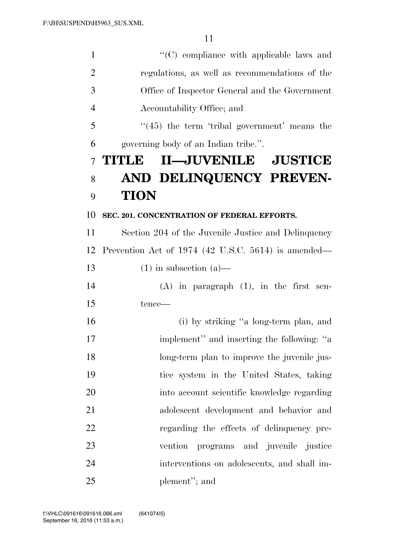$\cdot$  (C) compliance with applicable laws and regulations, as well as recommendations of the Office of Inspector General and the Government Accountability Office; and ''(45) the term 'tribal government' means the governing body of an Indian tribe.''. **TITLE II—JUVENILE JUSTICE AND DELINQUENCY PREVEN- TION SEC. 201. CONCENTRATION OF FEDERAL EFFORTS.**  Section 204 of the Juvenile Justice and Delinquency Prevention Act of 1974 (42 U.S.C. 5614) is amended— 13 (1) in subsection  $(a)$ — (A) in paragraph (1), in the first sen- tence— (i) by striking ''a long-term plan, and implement'' and inserting the following: ''a long-term plan to improve the juvenile jus- tice system in the United States, taking into account scientific knowledge regarding adolescent development and behavior and regarding the effects of delinquency pre- vention programs and juvenile justice interventions on adolescents, and shall im-plement''; and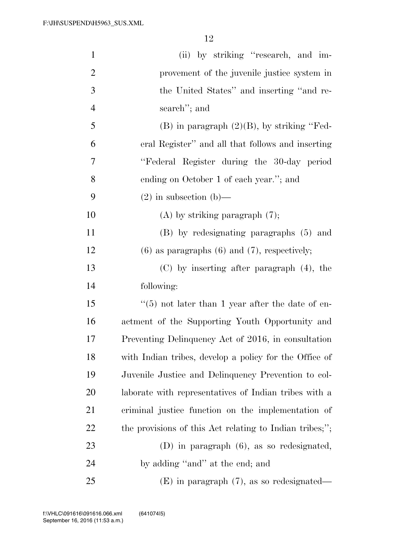| $\mathbf{1}$   | (ii) by striking "research, and im-                     |
|----------------|---------------------------------------------------------|
| $\overline{2}$ | provement of the juvenile justice system in             |
| 3              | the United States" and inserting "and re-               |
| $\overline{4}$ | search"; and                                            |
| 5              | $(B)$ in paragraph $(2)(B)$ , by striking "Fed-         |
| 6              | eral Register" and all that follows and inserting       |
| 7              | "Federal Register during the 30-day period              |
| 8              | ending on October 1 of each year."; and                 |
| 9              | $(2)$ in subsection $(b)$ —                             |
| 10             | $(A)$ by striking paragraph $(7)$ ;                     |
| 11             | (B) by redesignating paragraphs (5) and                 |
| 12             | $(6)$ as paragraphs $(6)$ and $(7)$ , respectively;     |
| 13             | $(C)$ by inserting after paragraph $(4)$ , the          |
| 14             | following:                                              |
| 15             | $(5)$ not later than 1 year after the date of en-       |
| 16             | actment of the Supporting Youth Opportunity and         |
| 17             | Preventing Delinquency Act of 2016, in consultation     |
| 18             | with Indian tribes, develop a policy for the Office of  |
| 19             | Juvenile Justice and Delinquency Prevention to col-     |
| 20             | laborate with representatives of Indian tribes with a   |
| 21             | criminal justice function on the implementation of      |
| 22             | the provisions of this Act relating to Indian tribes;"; |
| 23             | $(D)$ in paragraph $(6)$ , as so redesignated,          |
| 24             | by adding "and" at the end; and                         |
| 25             | $(E)$ in paragraph $(7)$ , as so redesignated—          |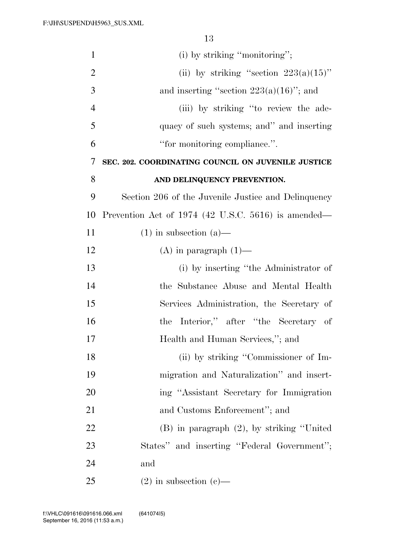| $\mathbf{1}$   | $(i)$ by striking "monitoring";                     |
|----------------|-----------------------------------------------------|
| $\overline{2}$ | (ii) by striking "section $223(a)(15)$ "            |
| 3              | and inserting "section $223(a)(16)$ "; and          |
| 4              | (iii) by striking "to review the ade-               |
| 5              | quacy of such systems; and" and inserting           |
| 6              | "for monitoring compliance.".                       |
| 7              | SEC. 202. COORDINATING COUNCIL ON JUVENILE JUSTICE  |
| 8              | AND DELINQUENCY PREVENTION.                         |
| 9              | Section 206 of the Juvenile Justice and Delinquency |
| 10             | Prevention Act of 1974 (42 U.S.C. 5616) is amended— |
| 11             | $(1)$ in subsection $(a)$ —                         |
| 12             | $(A)$ in paragraph $(1)$ —                          |
| 13             | (i) by inserting "the Administrator of              |
| 14             | the Substance Abuse and Mental Health               |
| 15             | Services Administration, the Secretary of           |
| 16             | the Interior," after "the Secretary of              |
| 17             | Health and Human Services,"; and                    |
| 18             | (ii) by striking "Commissioner of Im-               |
| 19             | migration and Naturalization" and insert-           |
| 20             | ing "Assistant Secretary for Immigration            |
| 21             | and Customs Enforcement"; and                       |
| 22             | $(B)$ in paragraph $(2)$ , by striking "United      |
| 23             | States" and inserting "Federal Government";         |
| 24             | and                                                 |
| 25             | $(2)$ in subsection $(e)$ —                         |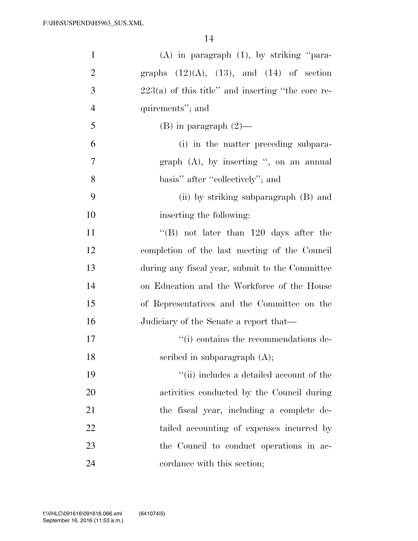| $\mathbf{1}$   | $(A)$ in paragraph $(1)$ , by striking "para-       |
|----------------|-----------------------------------------------------|
| $\overline{2}$ | graphs $(12)(A)$ , $(13)$ , and $(14)$ of section   |
| 3              | $223(a)$ of this title" and inserting "the core re- |
| $\overline{4}$ | quirements"; and                                    |
| 5              | $(B)$ in paragraph $(2)$ —                          |
| 6              | (i) in the matter preceding subpara-                |
| 7              | graph $(A)$ , by inserting ", on an annual          |
| 8              | basis" after "collectively"; and                    |
| 9              | (ii) by striking subparagraph (B) and               |
| 10             | inserting the following:                            |
| 11             | $\lq$ (B) not later than 120 days after the         |
| 12             | completion of the last meeting of the Council       |
| 13             | during any fiscal year, submit to the Committee     |
| 14             | on Education and the Workforce of the House         |
| 15             | of Representatives and the Committee on the         |
| 16             | Judiciary of the Senate a report that—              |
| 17             | "(i) contains the recommendations de-               |
| 18             | scribed in subparagraph $(A)$ ;                     |
| 19             | $``$ (ii) includes a detailed account of the        |
| 20             | activities conducted by the Council during          |
| 21             | the fiscal year, including a complete de-           |
| 22             | tailed accounting of expenses incurred by           |
| 23             | the Council to conduct operations in ac-            |
| 24             | cordance with this section;                         |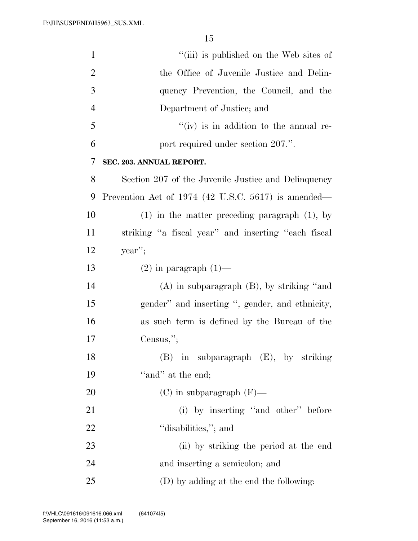| 1              | "(iii) is published on the Web sites of             |
|----------------|-----------------------------------------------------|
| $\overline{2}$ | the Office of Juvenile Justice and Delin-           |
| 3              | quency Prevention, the Council, and the             |
| $\overline{4}$ | Department of Justice; and                          |
| 5              | $f'(iv)$ is in addition to the annual re-           |
| 6              | port required under section 207.".                  |
| 7              | SEC. 203. ANNUAL REPORT.                            |
| 8              | Section 207 of the Juvenile Justice and Delinquency |
| 9              | Prevention Act of 1974 (42 U.S.C. 5617) is amended— |
| 10             | $(1)$ in the matter preceding paragraph $(1)$ , by  |
| 11             | striking "a fiscal year" and inserting "each fiscal |
| 12             | year                                                |
| 13             | $(2)$ in paragraph $(1)$ —                          |
| 14             | $(A)$ in subparagraph $(B)$ , by striking "and      |
| 15             | gender" and inserting ", gender, and ethnicity,     |
| 16             | as such term is defined by the Bureau of the        |
| 17             | Census,";                                           |
| 18             | $(B)$ in subparagraph $(E)$ , by striking           |
| 19             | "and" at the end;                                   |
| 20             | $(C)$ in subparagraph $(F)$ —                       |
| 21             | (i) by inserting "and other" before                 |
| 22             | "disabilities,"; and                                |
| 23             | (ii) by striking the period at the end              |
| 24             | and inserting a semicolon; and                      |
| 25             | (D) by adding at the end the following:             |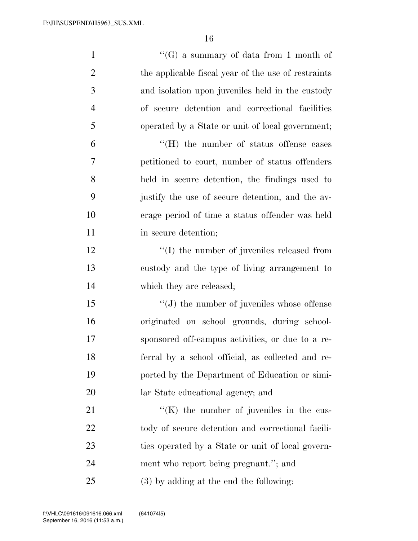| $\mathbf{1}$   | "(G) a summary of data from 1 month of              |
|----------------|-----------------------------------------------------|
| $\overline{2}$ | the applicable fiscal year of the use of restraints |
| 3              | and isolation upon juveniles held in the custody    |
| $\overline{4}$ | of secure detention and correctional facilities     |
| 5              | operated by a State or unit of local government;    |
| 6              | $\lq\lq$ (H) the number of status offense cases     |
| 7              | petitioned to court, number of status offenders     |
| 8              | held in secure detention, the findings used to      |
| 9              | justify the use of secure detention, and the av-    |
| 10             | erage period of time a status offender was held     |
| 11             | in secure detention;                                |
| 12             | "(I) the number of juveniles released from          |
| 13             | custody and the type of living arrangement to       |
| 14             | which they are released;                            |
| 15             | $\lq\lq(J)$ the number of juveniles whose offense   |
| 16             | originated on school grounds, during school-        |
| 17             | sponsored off-campus activities, or due to a re-    |
| 18             | ferral by a school official, as collected and re-   |
| 19             | ported by the Department of Education or simi-      |
| 20             | lar State educational agency; and                   |
| 21             | $\lq\lq$ (K) the number of juveniles in the cus-    |
| 22             | tody of secure detention and correctional facili-   |
| 23             | ties operated by a State or unit of local govern-   |
| 24             | ment who report being pregnant."; and               |
| 25             | $(3)$ by adding at the end the following:           |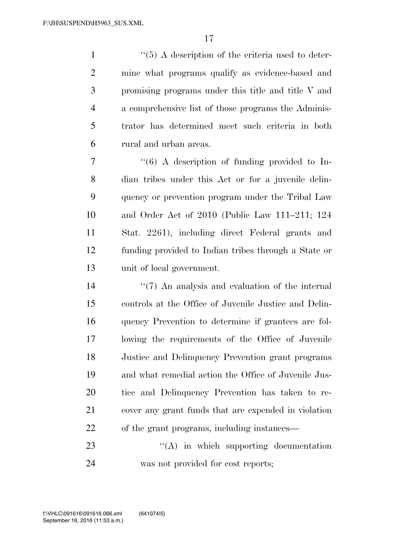$\frac{1}{1}$  ''(5) A description of the criteria used to deter- mine what programs qualify as evidence-based and promising programs under this title and title V and a comprehensive list of those programs the Adminis- trator has determined meet such criteria in both rural and urban areas.

7 "(6) A description of funding provided to In- dian tribes under this Act or for a juvenile delin- quency or prevention program under the Tribal Law and Order Act of 2010 (Public Law 111–211; 124 Stat. 2261), including direct Federal grants and funding provided to Indian tribes through a State or unit of local government.

 ''(7) An analysis and evaluation of the internal controls at the Office of Juvenile Justice and Delin- quency Prevention to determine if grantees are fol- lowing the requirements of the Office of Juvenile Justice and Delinquency Prevention grant programs and what remedial action the Office of Juvenile Jus- tice and Delinquency Prevention has taken to re- cover any grant funds that are expended in violation of the grant programs, including instances—

23  $\langle (A)$  in which supporting documentation was not provided for cost reports;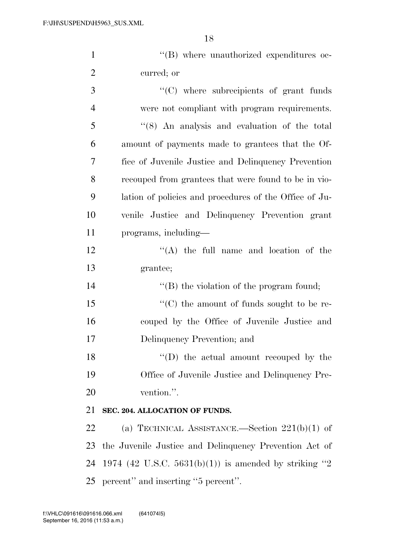| $\lq\lq (B)$ where unauthorized expenditures oc- |
|--------------------------------------------------|
| curred; or                                       |

 $\cdot$  (C) where subrecipients of grant funds were not compliant with program requirements. ''(8) An analysis and evaluation of the total amount of payments made to grantees that the Of- fice of Juvenile Justice and Delinquency Prevention recouped from grantees that were found to be in vio- lation of policies and procedures of the Office of Ju- venile Justice and Delinquency Prevention grant programs, including—

12 ''(A) the full name and location of the grantee;

14  $\text{``(B)}$  the violation of the program found;

15  $\langle \text{C} \rangle$  the amount of funds sought to be re- couped by the Office of Juvenile Justice and Delinquency Prevention; and

18 ''(D) the actual amount recouped by the Office of Juvenile Justice and Delinquency Pre-vention.''.

# **SEC. 204. ALLOCATION OF FUNDS.**

 (a) TECHNICAL ASSISTANCE.—Section 221(b)(1) of the Juvenile Justice and Delinquency Prevention Act of 24 1974 (42 U.S.C. 5631(b)(1)) is amended by striking "2 percent'' and inserting ''5 percent''.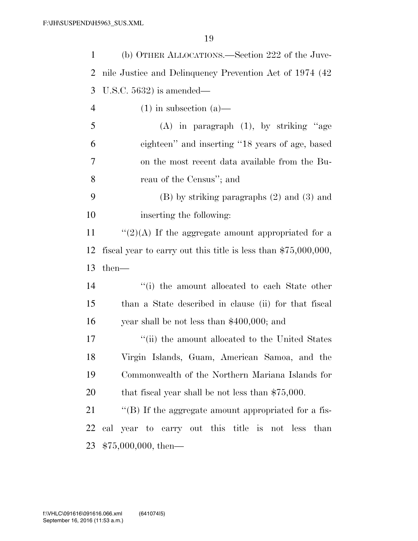| $\mathbf{1}$   | (b) OTHER ALLOCATIONS.—Section 222 of the Juve-                  |
|----------------|------------------------------------------------------------------|
| $\overline{2}$ | nile Justice and Delinquency Prevention Act of 1974 (42)         |
| 3              | U.S.C. $5632$ ) is amended—                                      |
| $\overline{4}$ | $(1)$ in subsection $(a)$ —                                      |
| 5              | $(A)$ in paragraph $(1)$ , by striking "age                      |
| 6              | eighteen" and inserting "18 years of age, based                  |
| $\tau$         | on the most recent data available from the Bu-                   |
| 8              | reau of the Census"; and                                         |
| 9              | $(B)$ by striking paragraphs $(2)$ and $(3)$ and                 |
| 10             | inserting the following:                                         |
| 11             | "(2)(A) If the aggregate amount appropriated for a               |
| 12             | fiscal year to carry out this title is less than $$75,000,000$ , |
| 13             | $then-$                                                          |
| 14             | "(i) the amount allocated to each State other                    |
| 15             | than a State described in clause (ii) for that fiscal            |
| 16             | year shall be not less than $$400,000$ ; and                     |
| 17             | "(ii) the amount allocated to the United States                  |
| 18             | Virgin Islands, Guam, American Samoa, and the                    |
| 19             | Commonwealth of the Northern Mariana Islands for                 |
| 20             | that fiscal year shall be not less than $$75,000$ .              |
| 21             | $\lq\lq$ . If the aggregate amount appropriated for a fis-       |
| 22             | cal year to carry out this title is not less<br>than             |
| 23             | $$75,000,000,$ then—                                             |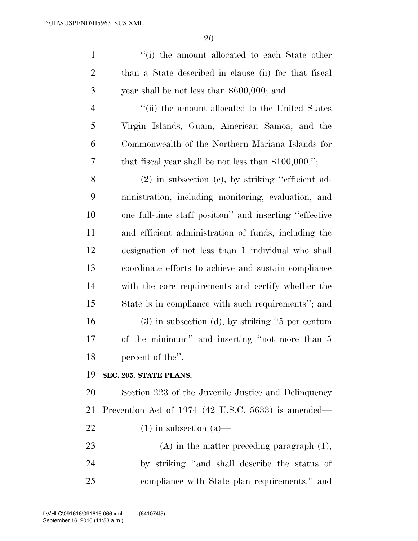| $\mathbf{1}$   | "(i) the amount allocated to each State other          |
|----------------|--------------------------------------------------------|
| $\overline{2}$ | than a State described in clause (ii) for that fiscal  |
| 3              | year shall be not less than $$600,000$ ; and           |
| $\overline{4}$ | "(ii) the amount allocated to the United States        |
| 5              | Virgin Islands, Guam, American Samoa, and the          |
| 6              | Commonwealth of the Northern Mariana Islands for       |
| 7              | that fiscal year shall be not less than $$100,000."$ ; |
| 8              | $(2)$ in subsection $(e)$ , by striking "efficient ad- |
| 9              | ministration, including monitoring, evaluation, and    |
| 10             | one full-time staff position" and inserting "effective |
| 11             | and efficient administration of funds, including the   |
| 12             | designation of not less than 1 individual who shall    |
| 13             | coordinate efforts to achieve and sustain compliance   |
| 14             | with the core requirements and certify whether the     |
| 15             | State is in compliance with such requirements"; and    |
| 16             | $(3)$ in subsection $(d)$ , by striking "5 per centum  |
| 17             | of the minimum" and inserting "not more than 5         |

percent of the''.

# **SEC. 205. STATE PLANS.**

 Section 223 of the Juvenile Justice and Delinquency Prevention Act of 1974 (42 U.S.C. 5633) is amended— 22 (1) in subsection  $(a)$ —

23 (A) in the matter preceding paragraph (1), by striking ''and shall describe the status of compliance with State plan requirements.'' and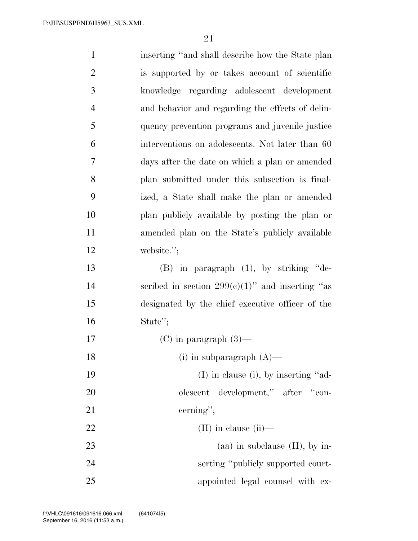| $\mathbf{1}$   | inserting "and shall describe how the State plan   |
|----------------|----------------------------------------------------|
| $\overline{2}$ | is supported by or takes account of scientific     |
| 3              | knowledge regarding adolescent development         |
| $\overline{4}$ | and behavior and regarding the effects of delin-   |
| 5              | quency prevention programs and juvenile justice    |
| 6              | interventions on adolescents. Not later than 60    |
| 7              | days after the date on which a plan or amended     |
| 8              | plan submitted under this subsection is final-     |
| 9              | ized, a State shall make the plan or amended       |
| 10             | plan publicly available by posting the plan or     |
| 11             | amended plan on the State's publicly available     |
| 12             | website.";                                         |
| 13             | $(B)$ in paragraph $(1)$ , by striking "de-        |
| 14             | scribed in section $299(e)(1)$ " and inserting "as |
| 15             | designated by the chief executive officer of the   |
| 16             | State";                                            |
| 17             | $(C)$ in paragraph $(3)$ —                         |
| 18             | (i) in subparagraph $(A)$ —                        |
| 19             | $(I)$ in clause (i), by inserting "ad-             |
| 20             | olescent development," after "con-                 |
| 21             | cerning";                                          |
| 22             | $(II)$ in clause $(ii)$ —                          |
| 23             | (aa) in subclause $(II)$ , by in-                  |
| 24             | serting "publicly supported court-                 |
| 25             | appointed legal counsel with ex-                   |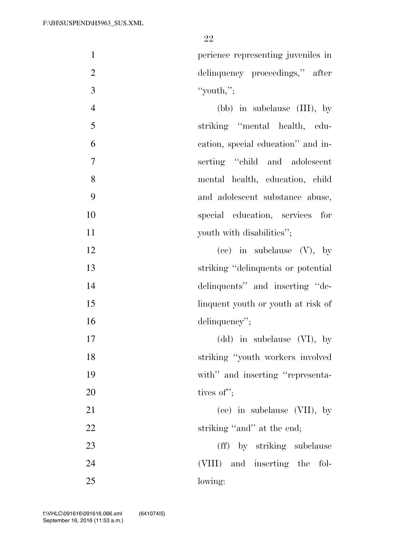perience representing juveniles in delinquency proceedings,'' after ''youth,'';

| $\overline{4}$ | (bb) in subclause $(III)$ , by     |
|----------------|------------------------------------|
| $\overline{5}$ | striking "mental health, edu-      |
| 6              | cation, special education" and in- |
| $\overline{7}$ | serting "child and adolescent"     |
| 8              | mental health, education, child    |
| 9              | and adolescent substance abuse,    |
| 10             | special education, services for    |
| 11             | youth with disabilities";          |

12 (ce) in subclause (V), by striking ''delinquents or potential delinquents'' and inserting ''de- linquent youth or youth at risk of 16 delinquency'';

17 (dd) in subclause (VI), by striking ''youth workers involved 19 with" and inserting "representa-20 tives of";

 (ee) in subclause (VII), by 22 striking "and" at the end;

23 (ff) by striking subclause (VIII) and inserting the fol-lowing: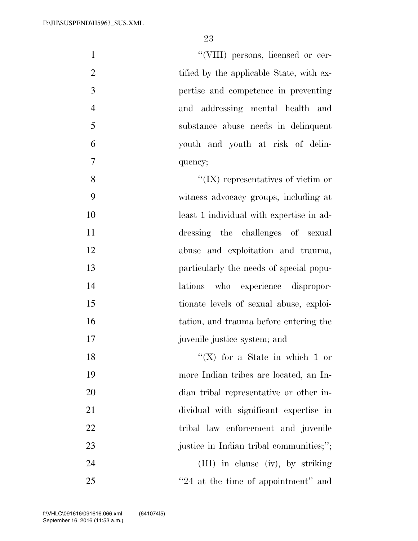| $\mathbf{1}$   | "(VIII) persons, licensed or cer-          |
|----------------|--------------------------------------------|
| $\overline{2}$ | tified by the applicable State, with ex-   |
| 3              | pertise and competence in preventing       |
| $\overline{4}$ | and addressing mental health and           |
| 5              | substance abuse needs in delinquent        |
| 6              | youth and youth at risk of delin-          |
| 7              | quency;                                    |
| 8              | $\lq\lq$ (IX) representatives of victim or |
| 9              | witness advocacy groups, including at      |
| 10             | least 1 individual with expertise in ad-   |
| 11             | dressing the challenges of sexual          |
| 12             | abuse and exploitation and trauma,         |
| 13             | particularly the needs of special popu-    |
| 14             | lations who experience dispropor-          |
| 15             | tionate levels of sexual abuse, exploi-    |
| 16             | tation, and trauma before entering the     |
| 17             | juvenile justice system; and               |
| 18             | "(X) for a State in which 1 or             |
| 19             | more Indian tribes are located, an In-     |
| 20             | dian tribal representative or other in-    |
| 21             | dividual with significant expertise in     |
| 22             | tribal law enforcement and juvenile        |
| 23             | justice in Indian tribal communities;";    |
| 24             | (III) in clause (iv), by striking          |

''24 at the time of appointment'' and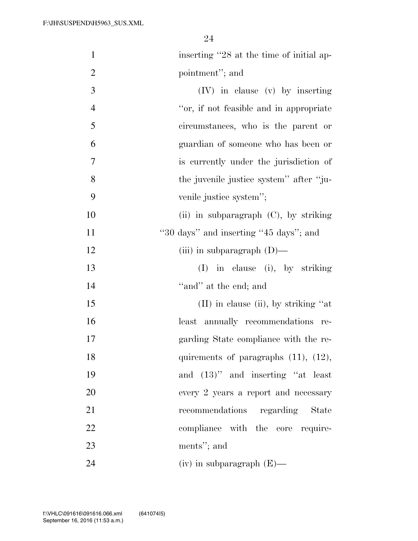| $\mathbf{1}$   | inserting "28 at the time of initial ap-   |
|----------------|--------------------------------------------|
| $\overline{2}$ | pointment"; and                            |
| 3              | $(IV)$ in clause $(v)$ by inserting        |
| $\overline{4}$ | "or, if not feasible and in appropriate    |
| 5              | circumstances, who is the parent or        |
| 6              | guardian of someone who has been or        |
| $\tau$         | is currently under the jurisdiction of     |
| 8              | the juvenile justice system" after "ju-    |
| 9              | venile justice system";                    |
| 10             | (ii) in subparagraph $(C)$ , by striking   |
| 11             | "30 days" and inserting "45 days"; and     |
| 12             | (iii) in subparagraph $(D)$ —              |
| 13             | $(I)$ in clause (i), by striking           |
| 14             | "and" at the end; and                      |
| 15             | $(II)$ in clause (ii), by striking "at     |
| 16             | least annually recommendations re-         |
| 17             | garding State compliance with the re-      |
| 18             | quirements of paragraphs $(11)$ , $(12)$ , |
| 19             | and $(13)$ " and inserting "at least       |
| 20             | every 2 years a report and necessary       |
| 21             | recommendations regarding State            |
| 22             | compliance with the core require-          |
| 23             | ments"; and                                |
| 24             | (iv) in subparagraph $(E)$ —               |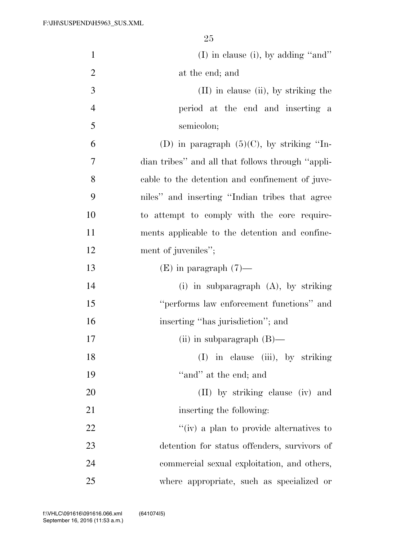| $\mathbf{1}$   | $(I)$ in clause (i), by adding "and"              |
|----------------|---------------------------------------------------|
| $\overline{2}$ | at the end; and                                   |
| 3              | $(II)$ in clause (ii), by striking the            |
| $\overline{4}$ | period at the end and inserting a                 |
| 5              | semicolon;                                        |
| 6              | (D) in paragraph $(5)(C)$ , by striking "In-      |
| $\tau$         | dian tribes" and all that follows through "appli- |
| 8              | cable to the detention and confinement of juve-   |
| 9              | niles" and inserting "Indian tribes that agree    |
| 10             | to attempt to comply with the core require-       |
| 11             | ments applicable to the detention and confine-    |
| 12             | ment of juveniles";                               |
| 13             | $(E)$ in paragraph $(7)$ —                        |
| 14             | (i) in subparagraph $(A)$ , by striking           |
| 15             | "performs law enforcement functions" and          |
| 16             | inserting "has jurisdiction"; and                 |
| 17             | (ii) in subparagraph $(B)$ —                      |
| 18             | $(I)$ in clause (iii), by striking                |
| 19             | "and" at the end; and                             |
| 20             | (II) by striking clause (iv) and                  |
| 21             | inserting the following:                          |
| 22             | "(iv) a plan to provide alternatives to           |
| 23             | detention for status offenders, survivors of      |
| 24             | commercial sexual exploitation, and others,       |
| 25             | where appropriate, such as specialized or         |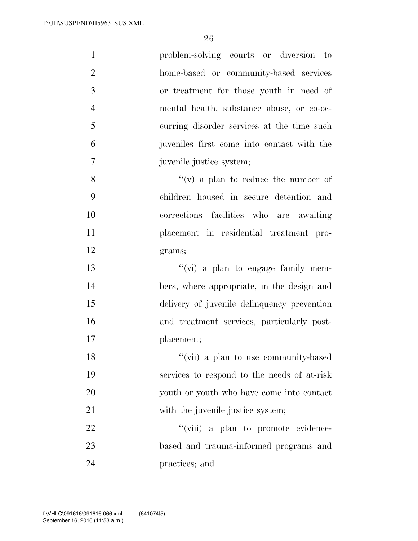| $\mathbf{1}$   | problem-solving courts or diversion to      |
|----------------|---------------------------------------------|
| $\overline{2}$ | home-based or community-based services      |
| 3              | or treatment for those youth in need of     |
| $\overline{4}$ | mental health, substance abuse, or co-oc-   |
| 5              | curring disorder services at the time such  |
| 6              | juveniles first come into contact with the  |
| 7              | juvenile justice system;                    |
| 8              | "(v) a plan to reduce the number of         |
| 9              | children housed in secure detention and     |
| 10             | corrections facilities who are awaiting     |
| 11             | placement in residential treatment pro-     |
| 12             | grams;                                      |
| 13             | "(vi) a plan to engage family mem-          |
| 14             | bers, where appropriate, in the design and  |
| 15             | delivery of juvenile delinquency prevention |
| 16             | and treatment services, particularly post-  |
| 17             | placement;                                  |
| 18             | "(vii) a plan to use community-based        |
| 19             | services to respond to the needs of at-risk |
| 20             | youth or youth who have come into contact   |
| 21             | with the juvenile justice system;           |
| 22             | "(viii) a plan to promote evidence-         |
| 23             | based and trauma-informed programs and      |
| 24             | practices; and                              |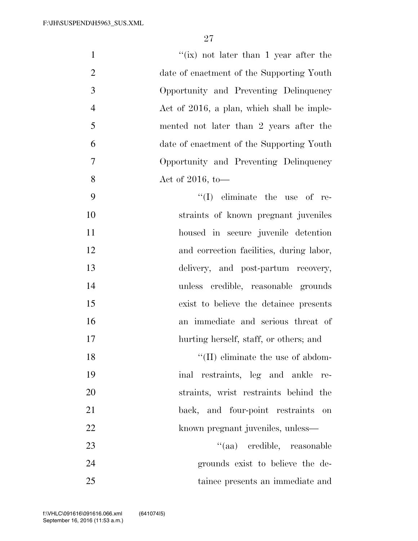| $\mathbf{1}$   | "(ix) not later than 1 year after the      |
|----------------|--------------------------------------------|
| $\overline{2}$ | date of enactment of the Supporting Youth  |
| 3              | Opportunity and Preventing Delinquency     |
| $\overline{4}$ | Act of 2016, a plan, which shall be imple- |
| 5              | mented not later than 2 years after the    |
| 6              | date of enactment of the Supporting Youth  |
| 7              | Opportunity and Preventing Delinquency     |
| 8              | Act of 2016, to-                           |
| 9              | $\lq\lq$ eliminate the use of re-          |
| 10             | straints of known pregnant juveniles       |
| 11             | housed in secure juvenile detention        |
| 12             | and correction facilities, during labor,   |
| 13             | delivery, and post-partum recovery,        |
| 14             | unless credible, reasonable grounds        |
| 15             | exist to believe the detainee presents     |
| 16             | an immediate and serious threat of         |
| 17             | hurting herself, staff, or others; and     |
| 18             | $\lq\lq$ (II) eliminate the use of abdom-  |
| 19             | inal restraints, leg and ankle<br>re-      |
| 20             | straints, wrist restraints behind the      |
| 21             | back, and four-point restraints<br>on      |
| 22             | known pregnant juveniles, unless—          |
| 23             | "(aa) credible, reasonable                 |
| 24             | grounds exist to believe the de-           |
| 25             | tainee presents an immediate and           |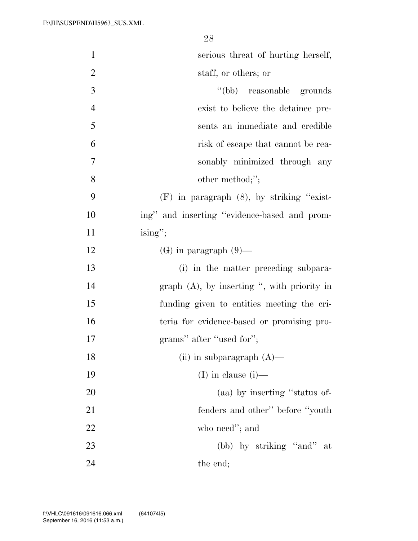| $\mathbf{1}$   | serious threat of hurting herself,             |
|----------------|------------------------------------------------|
| $\overline{2}$ | staff, or others; or                           |
| 3              | $``(bb)$ reasonable grounds                    |
| $\overline{4}$ | exist to believe the detainee pre-             |
| 5              | sents an immediate and credible                |
| 6              | risk of escape that cannot be rea-             |
| $\overline{7}$ | sonably minimized through any                  |
| 8              | other method;";                                |
| 9              | $(F)$ in paragraph $(8)$ , by striking "exist- |
| 10             | ing" and inserting "evidence-based and prom-   |
| 11             | $ising$ ";                                     |
| 12             | $(G)$ in paragraph $(9)$ —                     |
| 13             | (i) in the matter preceding subpara-           |
| 14             | graph $(A)$ , by inserting ", with priority in |
| 15             | funding given to entities meeting the cri-     |
| 16             | teria for evidence-based or promising pro-     |
| 17             | grams" after "used for";                       |
| 18             | (ii) in subparagraph $(A)$ —                   |
| 19             | (I) in clause $(i)$ —                          |
| 20             | (aa) by inserting "status of-                  |
| 21             | fenders and other" before "youth"              |
| 22             | who need"; and                                 |
| 23             | (bb) by striking "and" at                      |
| 24             | the end;                                       |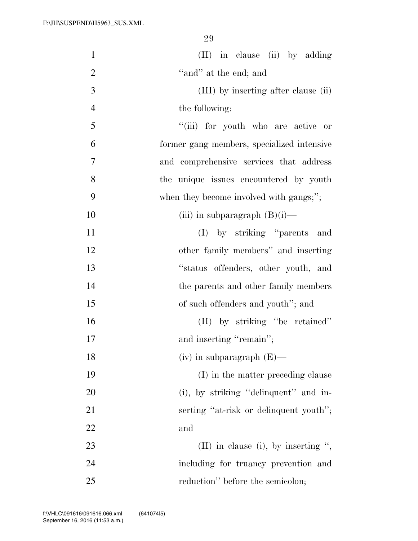| $\mathbf{1}$   | (II) in clause (ii) by adding              |
|----------------|--------------------------------------------|
| $\overline{2}$ | "and" at the end; and                      |
| 3              | (III) by inserting after clause (ii)       |
| $\overline{4}$ | the following:                             |
| 5              | "(iii) for youth who are active<br>- or    |
| 6              | former gang members, specialized intensive |
| 7              | and comprehensive services that address    |
| 8              | the unique issues encountered by youth     |
| 9              | when they become involved with gangs;";    |
| 10             | (iii) in subparagraph $(B)(i)$ —           |
| 11             | (I) by striking "parents and               |
| 12             | other family members" and inserting        |
| 13             | "status offenders, other youth, and        |
| 14             | the parents and other family members       |
| 15             | of such offenders and youth"; and          |
| 16             | (II) by striking "be retained"             |
| 17             | and inserting "remain";                    |
| 18             | $(iv)$ in subparagraph $(E)$ —             |
| 19             | (I) in the matter preceding clause         |
| 20             | (i), by striking "delinquent" and in-      |
| 21             | serting "at-risk or delinquent youth";     |
| 22             | and                                        |
| 23             | $(II)$ in clause (i), by inserting ",      |
| 24             | including for truancy prevention and       |
| 25             | reduction" before the semicolon;           |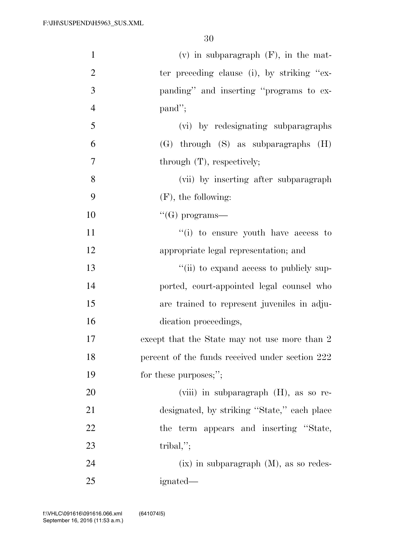| $\mathbf{1}$   | $(v)$ in subparagraph $(F)$ , in the mat-       |
|----------------|-------------------------------------------------|
| $\overline{2}$ | ter preceding clause (i), by striking "ex-      |
| 3              | panding" and inserting "programs to ex-         |
| $\overline{4}$ | $pand$ ";                                       |
| 5              | (vi) by redesignating subparagraphs             |
| 6              | $(G)$ through $(S)$ as subparagraphs $(H)$      |
| $\overline{7}$ | through $(T)$ , respectively;                   |
| 8              | (vii) by inserting after subparagraph           |
| 9              | $(F)$ , the following:                          |
| 10             | $``(G)$ programs—                               |
| 11             | "(i) to ensure youth have access to             |
| 12             | appropriate legal representation; and           |
| 13             | "(ii) to expand access to publicly sup-         |
| 14             | ported, court-appointed legal counsel who       |
| 15             | are trained to represent juveniles in adju-     |
| 16             | dication proceedings,                           |
| 17             | except that the State may not use more than 2   |
| 18             | percent of the funds received under section 222 |
| 19             | for these purposes;";                           |
| <b>20</b>      | (viii) in subparagraph (H), as so re-           |
| 21             | designated, by striking "State," each place     |
| 22             | the term appears and inserting "State,          |
| 23             | tribal,";                                       |
| 24             | $(ix)$ in subparagraph $(M)$ , as so redes-     |
| 25             | ignated—                                        |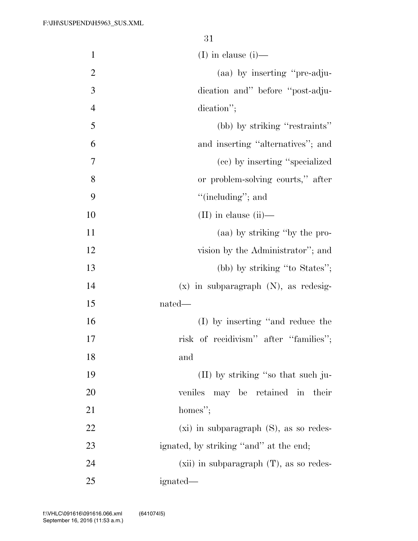| $\mathbf{1}$   | $(I)$ in clause $(i)$ —                      |
|----------------|----------------------------------------------|
| $\overline{2}$ | (aa) by inserting "pre-adju-                 |
| 3              | dication and" before "post-adju-             |
| $\overline{4}$ | dication";                                   |
| 5              | (bb) by striking "restraints"                |
| 6              | and inserting "alternatives"; and            |
| 7              | (cc) by inserting "specialized"              |
| 8              | or problem-solving courts," after            |
| 9              | "(including"; and                            |
| 10             | $(II)$ in clause $(ii)$ —                    |
| 11             | (aa) by striking "by the pro-                |
| 12             | vision by the Administrator"; and            |
| 13             | (bb) by striking "to States";                |
| 14             | $(x)$ in subparagraph $(N)$ , as redesig-    |
| 15             | nated—                                       |
| 16             | (I) by inserting "and reduce the             |
| 17             | risk of recidivism" after "families";        |
| 18             | and                                          |
| 19             | (II) by striking "so that such ju-           |
| 20             | may be retained in their<br>veniles          |
| 21             | homes";                                      |
| 22             | $(xi)$ in subparagraph $(S)$ , as so redes-  |
| 23             | ignated, by striking "and" at the end;       |
| 24             | $(xii)$ in subparagraph $(T)$ , as so redes- |
| 25             | ignated—                                     |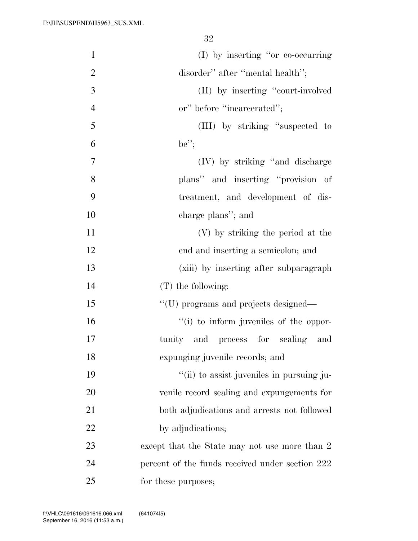| $\mathbf{1}$   | $(I)$ by inserting "or co-occurring"            |
|----------------|-------------------------------------------------|
| $\overline{2}$ | disorder" after "mental health";                |
| 3              | (II) by inserting "court-involved"              |
| $\overline{4}$ | or" before "incarcerated";                      |
| 5              | (III) by striking "suspected to                 |
| 6              | $be''$ ;                                        |
| $\tau$         | (IV) by striking "and discharge"                |
| 8              | plans" and inserting "provision of              |
| 9              | treatment, and development of dis-              |
| 10             | charge plans"; and                              |
| 11             | (V) by striking the period at the               |
| 12             | end and inserting a semicolon; and              |
| 13             | (xiii) by inserting after subparagraph          |
| 14             | $(T)$ the following:                            |
| 15             | "(U) programs and projects designed—            |
| 16             | "(i) to inform juveniles of the oppor-          |
| 17             | tunity and process for sealing and              |
| 18             | expunging juvenile records; and                 |
| 19             | "(ii) to assist juveniles in pursuing ju-       |
| 20             | venile record sealing and expungements for      |
| 21             | both adjudications and arrests not followed     |
| 22             | by adjudications;                               |
| 23             | except that the State may not use more than 2   |
| 24             | percent of the funds received under section 222 |
| 25             | for these purposes;                             |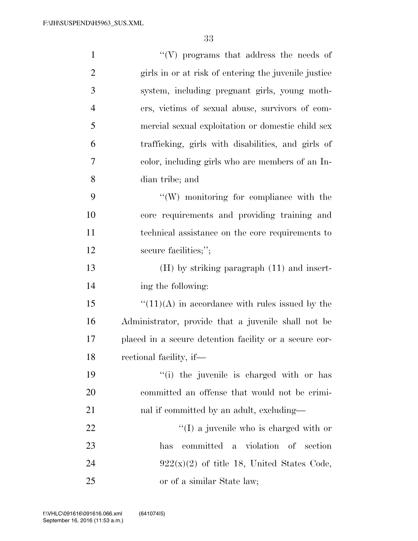| $\mathbf{1}$   | $``(V)$ programs that address the needs of             |
|----------------|--------------------------------------------------------|
| $\overline{2}$ | girls in or at risk of entering the juvenile justice   |
| 3              | system, including pregnant girls, young moth-          |
| $\overline{4}$ | ers, victims of sexual abuse, survivors of com-        |
| 5              | mercial sexual exploitation or domestic child sex      |
| 6              | trafficking, girls with disabilities, and girls of     |
| 7              | color, including girls who are members of an In-       |
| 8              | dian tribe; and                                        |
| 9              | "(W) monitoring for compliance with the                |
| 10             | core requirements and providing training and           |
| 11             | technical assistance on the core requirements to       |
| 12             | secure facilities;";                                   |
| 13             | $(H)$ by striking paragraph $(11)$ and insert-         |
| 14             | ing the following:                                     |
| 15             | $``(11)(A)$ in accordance with rules issued by the     |
| 16             | Administrator, provide that a juvenile shall not be    |
| 17             | placed in a secure detention facility or a secure cor- |
| 18             | rectional facility, if-                                |
| 19             | "(i) the juvenile is charged with or has               |
| <b>20</b>      | committed an offense that would not be crimi-          |
| 21             | nal if committed by an adult, excluding—               |
| 22             | $\lq (I)$ a juvenile who is charged with or            |
| 23             | committed a violation of section<br>has                |
| 24             | $922(x)(2)$ of title 18, United States Code,           |
| 25             | or of a similar State law;                             |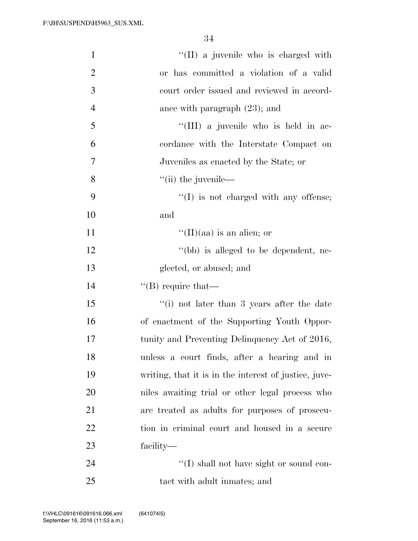| $\mathbf{1}$   | "(II) a juvenile who is charged with                  |
|----------------|-------------------------------------------------------|
| $\overline{2}$ | or has committed a violation of a valid               |
| 3              | court order issued and reviewed in accord-            |
| $\overline{4}$ | ance with paragraph $(23)$ ; and                      |
| 5              | "(III) a juvenile who is held in ac-                  |
| 6              | cordance with the Interstate Compact on               |
| $\overline{7}$ | Juveniles as enacted by the State; or                 |
| 8              | $\lq\lq$ (ii) the juvenile—                           |
| 9              | $\lq\lq$ is not charged with any offense;             |
| 10             | and                                                   |
| 11             | $\lq\lq$ (II)(aa) is an alien; or                     |
| 12             | "(bb) is alleged to be dependent, ne-                 |
| 13             | glected, or abused; and                               |
| 14             | $\lq\lq$ (B) require that—                            |
| 15             | $f'(i)$ not later than 3 years after the date         |
| 16             | of enactment of the Supporting Youth Oppor-           |
| 17             | tunity and Preventing Delinquency Act of 2016,        |
| 18             | unless a court finds, after a hearing and in          |
| 19             | writing, that it is in the interest of justice, juve- |
| 20             | niles awaiting trial or other legal process who       |
| 21             | are treated as adults for purposes of prosecu-        |
| 22             | tion in criminal court and housed in a secure         |
| 23             | facility—                                             |
| 24             | $\lq\lq$ (I) shall not have sight or sound con-       |
| 25             | tact with a dult in mates; and                        |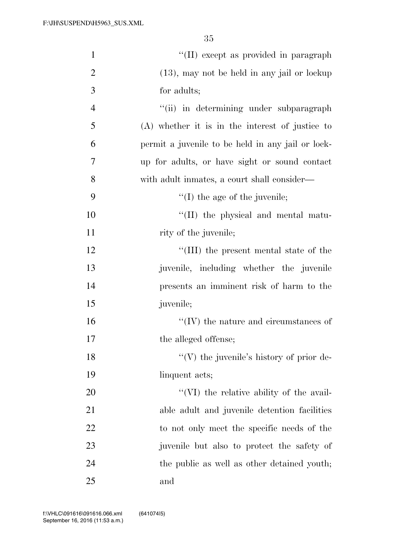| $\mathbf{1}$   | "(II) except as provided in paragraph             |
|----------------|---------------------------------------------------|
| $\overline{2}$ | $(13)$ , may not be held in any jail or lockup    |
| 3              | for adults;                                       |
| $\overline{4}$ | "(ii) in determining under subparagraph           |
| 5              | (A) whether it is in the interest of justice to   |
| 6              | permit a juvenile to be held in any jail or lock- |
| 7              | up for adults, or have sight or sound contact     |
| 8              | with adult inmates, a court shall consider—       |
| 9              | $f'(I)$ the age of the juvenile;                  |
| 10             | "(II) the physical and mental matu-               |
| 11             | rity of the juvenile;                             |
| 12             | "(III) the present mental state of the            |
| 13             | juvenile, including whether the juvenile          |
| 14             | presents an imminent risk of harm to the          |
| 15             | <i>juvenile;</i>                                  |
| 16             | $\lq\lq (IV)$ the nature and circumstances of     |
| 17             | the alleged offense;                              |
| 18             | "(V) the juvenile's history of prior de-          |
| 19             | linquent acts;                                    |
| 20             | $\lq\lq$ (VI) the relative ability of the avail-  |
| 21             | able adult and juvenile detention facilities      |
| 22             | to not only meet the specific needs of the        |
| 23             | juvenile but also to protect the safety of        |
| 24             | the public as well as other detained youth;       |
| 25             | and                                               |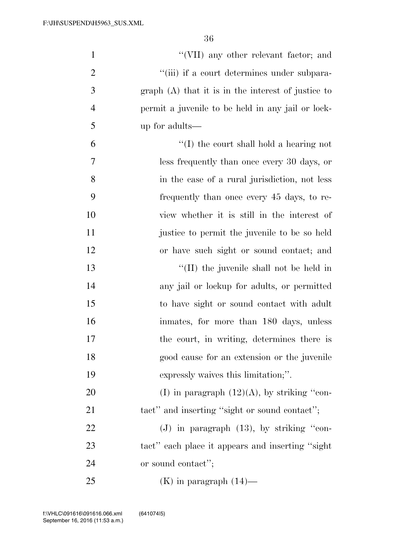| $\mathbf{1}$   | "(VII) any other relevant factor; and              |
|----------------|----------------------------------------------------|
| $\overline{2}$ | "(iii) if a court determines under subpara-        |
| 3              | graph (A) that it is in the interest of justice to |
| $\overline{4}$ | permit a juvenile to be held in any jail or lock-  |
| 5              | up for adults—                                     |
| 6              | "(I) the court shall hold a hearing not            |
| $\overline{7}$ | less frequently than once every 30 days, or        |
| 8              | in the case of a rural jurisdiction, not less      |
| 9              | frequently than once every 45 days, to re-         |
| 10             | view whether it is still in the interest of        |
| 11             | justice to permit the juvenile to be so held       |
| 12             | or have such sight or sound contact; and           |
| 13             | $\lq$ (II) the juvenile shall not be held in       |
| 14             | any jail or lockup for adults, or permitted        |
| 15             | to have sight or sound contact with a dult         |
| 16             | inmates, for more than 180 days, unless            |
| 17             | the court, in writing, determines there is         |
| 18             | good cause for an extension or the juvenile        |
| 19             | expressly waives this limitation;".                |
| 20             | (I) in paragraph $(12)(A)$ , by striking "con-     |
| 21             | tact" and inserting "sight or sound contact";      |
| 22             | $(J)$ in paragraph $(13)$ , by striking "con-      |
| 23             | tact" each place it appears and inserting "sight"  |
| 24             | or sound contact";                                 |
| 25             | $(K)$ in paragraph $(14)$ —                        |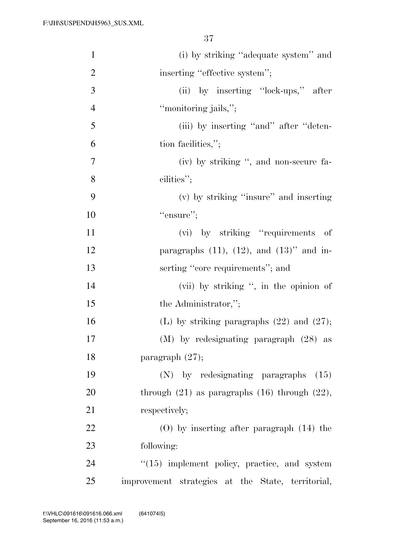| $\mathbf{1}$   | (i) by striking "adequate system" and                |
|----------------|------------------------------------------------------|
| $\overline{2}$ | inserting "effective system";                        |
| 3              | (ii) by inserting "lock-ups," after                  |
| $\overline{4}$ | "monitoring jails,";                                 |
| 5              | (iii) by inserting "and" after "deten-               |
| 6              | tion facilities,";                                   |
| 7              | (iv) by striking ", and non-secure fa-               |
| 8              | cilities";                                           |
| 9              | (v) by striking "insure" and inserting               |
| 10             | "ensure";                                            |
| 11             | (vi) by striking "requirements"<br>- of              |
| 12             | paragraphs $(11)$ , $(12)$ , and $(13)$ " and in-    |
| 13             | serting "core requirements"; and                     |
| 14             | (vii) by striking ", in the opinion of               |
| 15             | the Administrator,";                                 |
| 16             | (L) by striking paragraphs $(22)$ and $(27)$ ;       |
| 17             | $(M)$ by redesignating paragraph $(28)$ as           |
| 18             | paragraph $(27)$ ;                                   |
| 19             | (N) by redesignating paragraphs (15)                 |
| 20             | through $(21)$ as paragraphs $(16)$ through $(22)$ , |
| 21             | respectively;                                        |
| 22             | $(0)$ by inserting after paragraph $(14)$ the        |
| 23             | following:                                           |
| 24             | $"(15)$ implement policy, practice, and system       |
| 25             | improvement strategies at the State, territorial,    |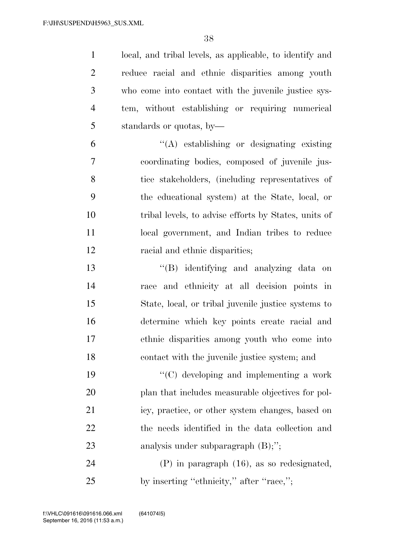local, and tribal levels, as applicable, to identify and reduce racial and ethnic disparities among youth who come into contact with the juvenile justice sys- tem, without establishing or requiring numerical standards or quotas, by—

 ''(A) establishing or designating existing coordinating bodies, composed of juvenile jus- tice stakeholders, (including representatives of the educational system) at the State, local, or tribal levels, to advise efforts by States, units of local government, and Indian tribes to reduce 12 racial and ethnic disparities;

 ''(B) identifying and analyzing data on race and ethnicity at all decision points in State, local, or tribal juvenile justice systems to determine which key points create racial and ethnic disparities among youth who come into contact with the juvenile justice system; and

 ''(C) developing and implementing a work plan that includes measurable objectives for pol- icy, practice, or other system changes, based on the needs identified in the data collection and 23 analysis under subparagraph  $(B)$ ;";

 (P) in paragraph (16), as so redesignated, 25 by inserting "ethnicity," after "race,";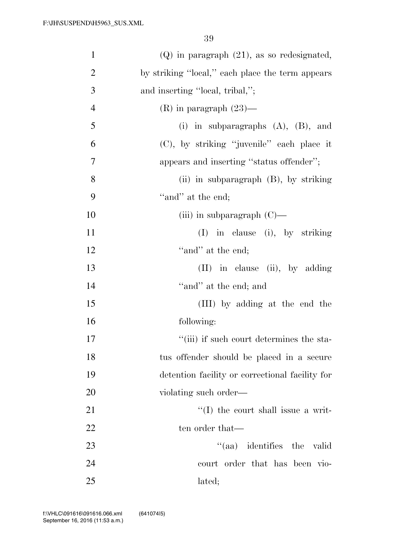| $\mathbf{1}$   | $(Q)$ in paragraph $(21)$ , as so redesignated,  |
|----------------|--------------------------------------------------|
| $\overline{2}$ | by striking "local," each place the term appears |
| 3              | and inserting "local, tribal,";                  |
| $\overline{4}$ | $(R)$ in paragraph $(23)$ —                      |
| 5              | (i) in subparagraphs $(A)$ , $(B)$ , and         |
| 6              | (C), by striking "juvenile" each place it        |
| $\overline{7}$ | appears and inserting "status offender";         |
| 8              | (ii) in subparagraph (B), by striking            |
| 9              | "and" at the end;                                |
| 10             | (iii) in subparagraph $(C)$ —                    |
| 11             | $(I)$ in clause (i), by striking                 |
| 12             | "and" at the end;                                |
| 13             | $(II)$ in clause $(ii)$ , by adding              |
| 14             | "and" at the end; and                            |
| 15             | (III) by adding at the end the                   |
| 16             | following:                                       |
| 17             | "(iii) if such court determines the sta-         |
| 18             | tus offender should be placed in a secure        |
| 19             | detention facility or correctional facility for  |
| 20             | violating such order—                            |
| 21             | $\lq\lq$ (I) the court shall issue a writ-       |
| 22             | ten order that—                                  |
| 23             | "(aa) identifies the valid                       |
| 24             | court order that has been vio-                   |
| 25             | lated;                                           |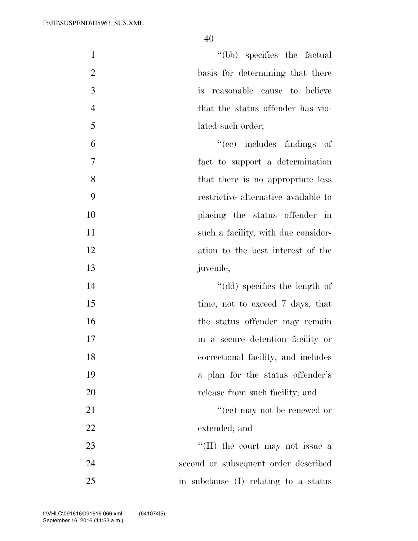1 ''(bb) specifies the factual 2 basis for determining that there 3 is reasonable cause to believe 4 that the status offender has vio-5 lated such order;

 $^{\circ}$  (cc) includes findings of fact to support a determination 8 that there is no appropriate less restrictive alternative available to placing the status offender in 11 such a facility, with due consider- ation to the best interest of the juvenile;

14 ''(dd) specifies the length of 15 time, not to exceed 7 days, that 16 the status offender may remain 17 in a secure detention facility or 18 correctional facility, and includes 19 a plan for the status offender's 20 release from such facility; and 21 ''(ee) may not be renewed or 22 extended; and 23 ''(II) the court may not issue a

24 second or subsequent order described 25 in subclause (I) relating to a status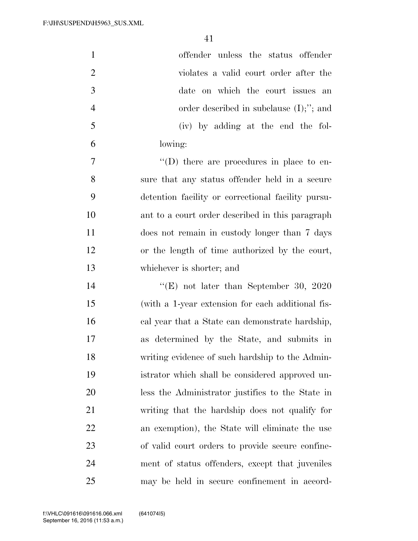| $\mathbf{1}$   | offender unless the status offender                |
|----------------|----------------------------------------------------|
| $\overline{2}$ | violates a valid court order after the             |
| 3              | date on which the court issues an                  |
| $\overline{4}$ | order described in subclause $(I);$ "; and         |
| 5              | (iv) by adding at the end the fol-                 |
| 6              | lowing:                                            |
| 7              | $\lq\lq$ there are procedures in place to en-      |
| 8              | sure that any status offender held in a secure     |
| 9              | detention facility or correctional facility pursu- |
| 10             | ant to a court order described in this paragraph   |
| 11             | does not remain in custody longer than 7 days      |
| 12             | or the length of time authorized by the court,     |
| 13             | whichever is shorter; and                          |
| 14             | "(E) not later than September 30, 2020             |
| 15             | (with a 1-year extension for each additional fis-  |
| 16             | cal year that a State can demonstrate hardship,    |
| 17             | as determined by the State, and submits in         |
| 18             | writing evidence of such hardship to the Admin-    |
| 19             | istrator which shall be considered approved un-    |
| 20             | less the Administrator justifies to the State in   |
| 21             | writing that the hardship does not qualify for     |
| 22             | an exemption), the State will eliminate the use    |
| 23             | of valid court orders to provide secure confine-   |
| 24             | ment of status offenders, except that juveniles    |
| 25             | may be held in secure confinement in accord-       |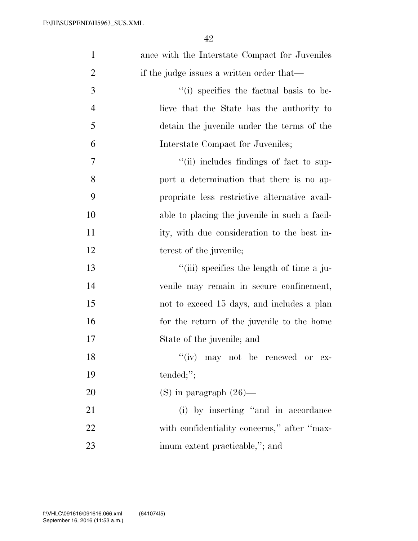| $\mathbf{1}$   | ance with the Interstate Compact for Juveniles |
|----------------|------------------------------------------------|
| $\overline{2}$ | if the judge issues a written order that—      |
| 3              | "(i) specifies the factual basis to be-        |
| $\overline{4}$ | lieve that the State has the authority to      |
| 5              | detain the juvenile under the terms of the     |
| 6              | Interstate Compact for Juveniles;              |
| $\overline{7}$ | "(ii) includes findings of fact to sup-        |
| 8              | port a determination that there is no ap-      |
| 9              | propriate less restrictive alternative avail-  |
| 10             | able to placing the juvenile in such a facil-  |
| 11             | ity, with due consideration to the best in-    |
| 12             | terest of the juvenile;                        |
| 13             | "(iii) specifies the length of time a ju-      |
| 14             | venile may remain in secure confinement,       |
| 15             | not to exceed 15 days, and includes a plan     |
| 16             | for the return of the juvenile to the home     |
| 17             | State of the juvenile; and                     |
| 18             | "(iv) may not be renewed or ex-                |
| 19             | tended;";                                      |
| 20             | $(S)$ in paragraph $(26)$ —                    |
| 21             | (i) by inserting "and in accordance            |
| 22             | with confidentiality concerns," after "max-    |
| 23             | imum extent practicable,"; and                 |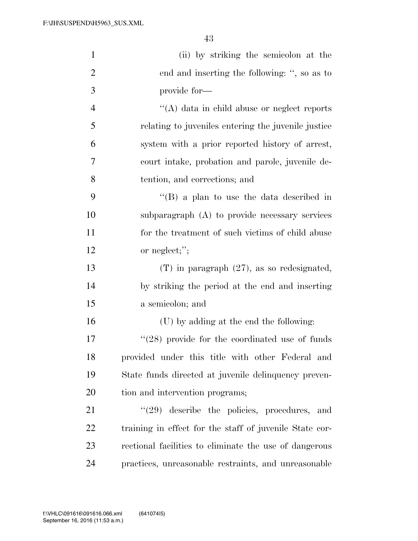| $\mathbf{1}$   | (ii) by striking the semicolon at the                   |
|----------------|---------------------------------------------------------|
| $\overline{2}$ | end and inserting the following: ", so as to            |
| 3              | provide for-                                            |
| $\overline{4}$ | $\cdot$ (A) data in child abuse or neglect reports      |
| 5              | relating to juveniles entering the juvenile justice     |
| 6              | system with a prior reported history of arrest,         |
| 7              | court intake, probation and parole, juvenile de-        |
| 8              | tention, and corrections; and                           |
| 9              | "(B) a plan to use the data described in                |
| 10             | subparagraph (A) to provide necessary services          |
| 11             | for the treatment of such victims of child abuse        |
| 12             | or neglect;";                                           |
| 13             | $(T)$ in paragraph $(27)$ , as so redesignated,         |
| 14             | by striking the period at the end and inserting         |
| 15             | a semicolon; and                                        |
| 16             | (U) by adding at the end the following:                 |
| 17             | $(28)$ provide for the coordinated use of funds         |
| 18             | provided under this title with other Federal and        |
| 19             | State funds directed at juvenile delinquency preven-    |
| 20             | tion and intervention programs;                         |
| 21             | $(29)$ describe the policies, procedures, and           |
| 22             | training in effect for the staff of juvenile State cor- |
| 23             | rectional facilities to eliminate the use of dangerous  |
| 24             | practices, unreasonable restraints, and unreasonable    |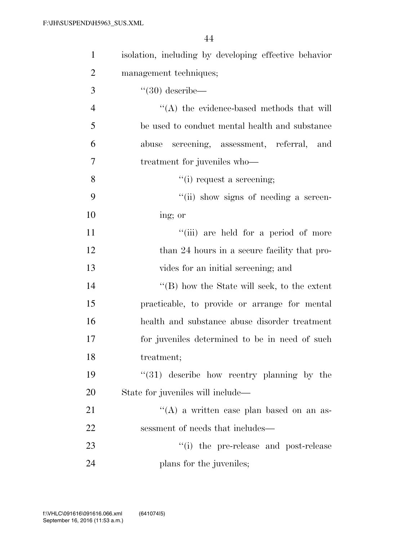| $\mathbf{1}$   | isolation, including by developing effective behavior |
|----------------|-------------------------------------------------------|
| $\overline{2}$ | management techniques;                                |
| 3              | $(30)$ describe—                                      |
| $\overline{4}$ | $\lq\lq$ the evidence-based methods that will         |
| 5              | be used to conduct mental health and substance        |
| 6              | screening, assessment, referral, and<br>abuse         |
| 7              | treatment for juveniles who—                          |
| 8              | "(i) request a screening;                             |
| 9              | "(ii) show signs of needing a screen-                 |
| 10             | ing; or                                               |
| 11             | "(iii) are held for a period of more                  |
| 12             | than 24 hours in a secure facility that pro-          |
| 13             | vides for an initial screening; and                   |
| 14             | "(B) how the State will seek, to the extent           |
| 15             | practicable, to provide or arrange for mental         |
| 16             | health and substance abuse disorder treatment         |
| 17             | for juveniles determined to be in need of such        |
| 18             | treatment;                                            |
| 19             | $(31)$ describe how reentry planning by the           |
| 20             | State for juveniles will include—                     |
| 21             | $\lq\lq$ a written case plan based on an as-          |
| 22             | sessment of needs that includes—                      |
| 23             | "(i) the pre-release and post-release                 |
| 24             | plans for the juveniles;                              |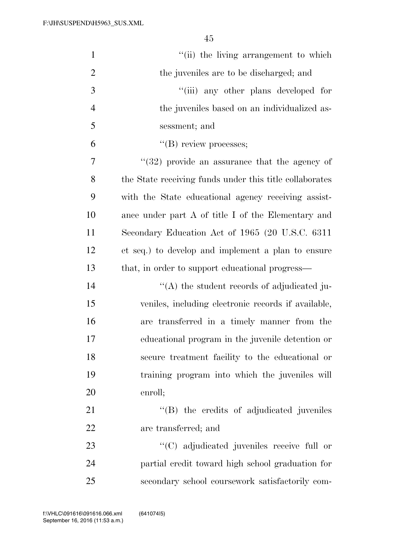| $\mathbf{1}$   | "(ii) the living arrangement to which                   |
|----------------|---------------------------------------------------------|
| $\overline{2}$ | the juveniles are to be discharged; and                 |
| 3              | "(iii) any other plans developed for                    |
| $\overline{4}$ | the juveniles based on an individualized as-            |
| 5              | sessment; and                                           |
| 6              | $\lq\lq(B)$ review processes;                           |
| 7              | $(32)$ provide an assurance that the agency of          |
| 8              | the State receiving funds under this title collaborates |
| 9              | with the State educational agency receiving assist-     |
| 10             | ance under part A of title I of the Elementary and      |
| 11             | Secondary Education Act of 1965 (20 U.S.C. 6311)        |
| 12             | et seq.) to develop and implement a plan to ensure      |
| 13             | that, in order to support educational progress—         |
| 14             | $\lq\lq$ the student records of adjudicated ju-         |
| 15             | veniles, including electronic records if available,     |
| 16             | are transferred in a timely manner from the             |
| 17             | educational program in the juvenile detention or        |
| 18             | secure treatment facility to the educational or         |
| 19             | training program into which the juveniles will          |
| 20             | enroll;                                                 |
| 21             | "(B) the credits of adjudicated juveniles               |
| 22             | are transferred; and                                    |
| 23             | "(C) adjudicated juveniles receive full or              |
| 24             | partial credit toward high school graduation for        |
| 25             | secondary school coursework satisfactorily com-         |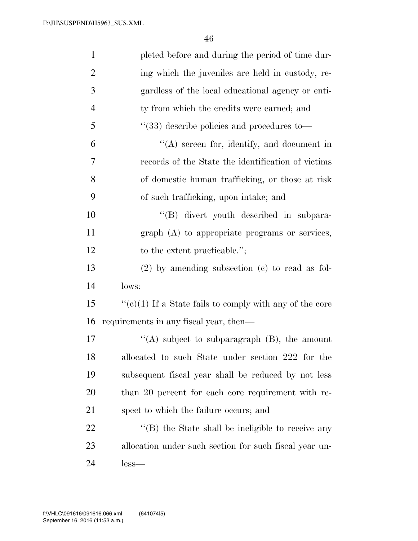| $\mathbf{1}$   | pleted before and during the period of time dur-        |
|----------------|---------------------------------------------------------|
| $\overline{2}$ | ing which the juveniles are held in custody, re-        |
| 3              | gardless of the local educational agency or enti-       |
| 4              | ty from which the credits were earned; and              |
| 5              | $\cdot\cdot$ (33) describe policies and procedures to — |
| 6              | $\lq\lq$ screen for, identify, and document in          |
| 7              | records of the State the identification of victims      |
| 8              | of domestic human trafficking, or those at risk         |
| 9              | of such trafficking, upon intake; and                   |
| 10             | "(B) divert youth described in subpara-                 |
| 11             | graph $(A)$ to appropriate programs or services,        |
| 12             | to the extent practicable.";                            |
| 13             | $(2)$ by amending subsection $(e)$ to read as fol-      |
| 14             | lows:                                                   |
| 15             | "(c)(1) If a State fails to comply with any of the core |
| 16             | requirements in any fiscal year, then—                  |
| 17             | "(A) subject to subparagraph $(B)$ , the amount         |
| 18             | allocated to such State under section 222 for the       |
| 19             | subsequent fiscal year shall be reduced by not less     |
| 20             | than 20 percent for each core requirement with re-      |
| 21             | spect to which the failure occurs; and                  |
| 22             | "(B) the State shall be ineligible to receive any       |
| 23             | allocation under such section for such fiscal year un-  |
| 24             | $less-$                                                 |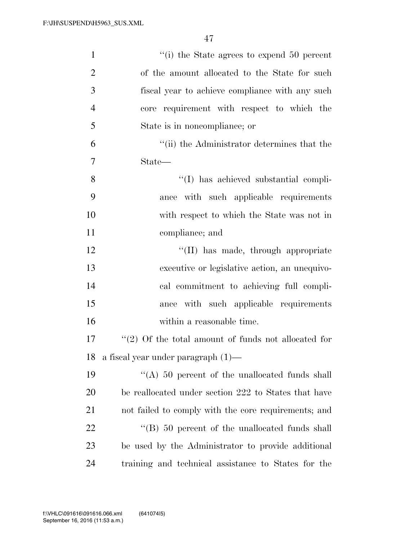| $\mathbf{1}$   | $``(i)$ the State agrees to expend 50 percent          |
|----------------|--------------------------------------------------------|
| $\overline{2}$ | of the amount allocated to the State for such          |
| 3              | fiscal year to achieve compliance with any such        |
| $\overline{4}$ | core requirement with respect to which the             |
| 5              | State is in noncompliance; or                          |
| 6              | "(ii) the Administrator determines that the            |
| $\overline{7}$ | $\text{State}$ —                                       |
| 8              | "(I) has achieved substantial compli-                  |
| 9              | ance with such applicable requirements                 |
| 10             | with respect to which the State was not in             |
| 11             | compliance; and                                        |
| 12             | "(II) has made, through appropriate                    |
| 13             | executive or legislative action, an unequivo-          |
| 14             | cal commitment to achieving full compli-               |
| 15             | ance with such applicable requirements                 |
| 16             | within a reasonable time.                              |
| 17             | $f'(2)$ Of the total amount of funds not allocated for |
| 18             | a fiscal year under paragraph $(1)$ —                  |
| 19             | $(4)$ 50 percent of the unallocated funds shall        |
| <b>20</b>      | be reallocated under section 222 to States that have   |
| 21             | not failed to comply with the core requirements; and   |
| 22             | $\cdot$ (B) 50 percent of the unallocated funds shall  |
| 23             | be used by the Administrator to provide additional     |
| 24             | training and technical assistance to States for the    |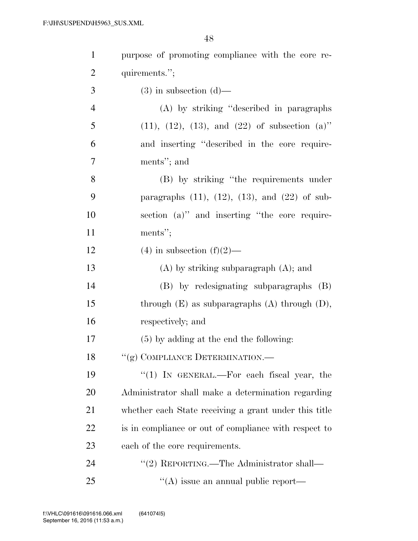| $\mathbf{1}$   | purpose of promoting compliance with the core re-           |
|----------------|-------------------------------------------------------------|
| $\overline{2}$ | quirements.";                                               |
| 3              | $(3)$ in subsection $(d)$ —                                 |
| $\overline{4}$ | (A) by striking "described in paragraphs                    |
| 5              | $(11)$ , $(12)$ , $(13)$ , and $(22)$ of subsection $(a)$ " |
| 6              | and inserting "described in the core require-               |
| 7              | ments"; and                                                 |
| 8              | (B) by striking "the requirements under                     |
| 9              | paragraphs $(11)$ , $(12)$ , $(13)$ , and $(22)$ of sub-    |
| 10             | section (a)" and inserting "the core require-               |
| 11             | ments";                                                     |
| 12             | $(4)$ in subsection $(f)(2)$ —                              |
| 13             | $(A)$ by striking subparagraph $(A)$ ; and                  |
| 14             | (B) by redesignating subparagraphs (B)                      |
| 15             | through $(E)$ as subparagraphs $(A)$ through $(D)$ ,        |
| 16             | respectively; and                                           |
| 17             | $(5)$ by adding at the end the following:                   |
| 18             | "(g) COMPLIANCE DETERMINATION.—                             |
| 19             | "(1) IN GENERAL.—For each fiscal year, the                  |
| 20             | Administrator shall make a determination regarding          |
| 21             | whether each State receiving a grant under this title       |
| 22             | is in compliance or out of compliance with respect to       |
| 23             | each of the core requirements.                              |
| 24             | "(2) REPORTING.—The Administrator shall—                    |
| 25             | $\lq\lq$ issue an annual public report—                     |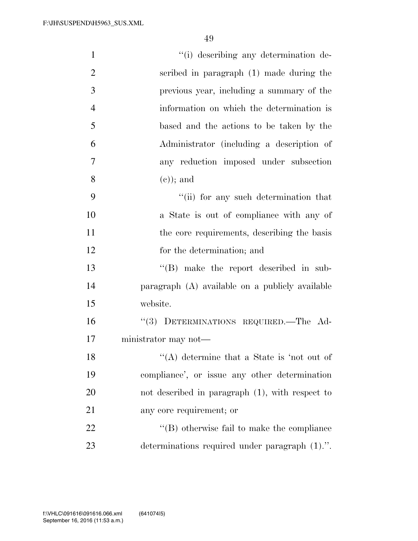| $\mathbf{1}$   | "(i) describing any determination de-           |
|----------------|-------------------------------------------------|
| $\overline{2}$ | scribed in paragraph (1) made during the        |
| 3              | previous year, including a summary of the       |
| $\overline{4}$ | information on which the determination is       |
| 5              | based and the actions to be taken by the        |
| 6              | Administrator (including a description of       |
| $\overline{7}$ | any reduction imposed under subsection          |
| 8              | $(e)$ ; and                                     |
| 9              | "(ii) for any such determination that           |
| 10             | a State is out of compliance with any of        |
| 11             | the core requirements, describing the basis     |
| 12             | for the determination; and                      |
| 13             | $\lq\lq$ (B) make the report described in sub-  |
| 14             | paragraph (A) available on a publicly available |
| 15             | website.                                        |
| 16             | "(3) DETERMINATIONS REQUIRED.—The Ad-           |
| 17             | ministrator may not—                            |
| 18             | $(4)$ determine that a State is 'not out of     |
| 19             | compliance', or issue any other determination   |
| 20             | not described in paragraph (1), with respect to |
| 21             | any core requirement; or                        |
| 22             | $\lq\lq$ otherwise fail to make the compliance  |
| 23             | determinations required under paragraph (1).".  |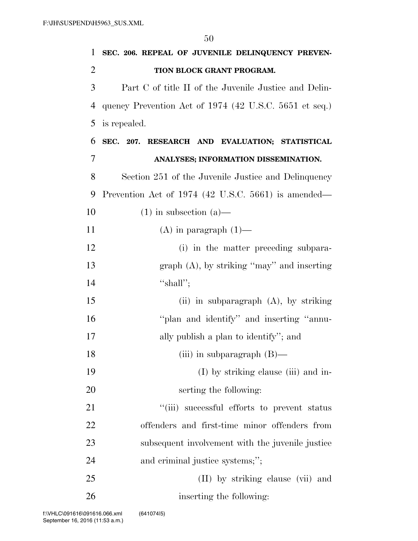| SEC. 206. REPEAL OF JUVENILE DELINQUENCY PREVEN-       |
|--------------------------------------------------------|
| TION BLOCK GRANT PROGRAM.                              |
| Part C of title II of the Juvenile Justice and Delin-  |
| quency Prevention Act of 1974 (42 U.S.C. 5651 et seq.) |
| is repealed.                                           |
| SEC. 207. RESEARCH AND EVALUATION; STATISTICAL         |
| ANALYSES; INFORMATION DISSEMINATION.                   |
| Section 251 of the Juvenile Justice and Delinquency    |
| Prevention Act of 1974 (42 U.S.C. 5661) is amended—    |
| $(1)$ in subsection $(a)$ —                            |
| $(A)$ in paragraph $(1)$ —                             |
| (i) in the matter preceding subpara-                   |
| $graph(A)$ , by striking "may" and inserting           |
| "shall";                                               |
| (ii) in subparagraph $(A)$ , by striking               |
| "plan and identify" and inserting "annu-               |
| ally publish a plan to identify"; and                  |
| (iii) in subparagraph $(B)$ —                          |
| (I) by striking clause (iii) and in-                   |
| serting the following:                                 |
| "(iii) successful efforts to prevent status            |
| offenders and first-time minor offenders from          |
| subsequent involvement with the juvenile justice       |
| and criminal justice systems;";                        |
| (II) by striking clause (vii) and                      |
|                                                        |

inserting the following: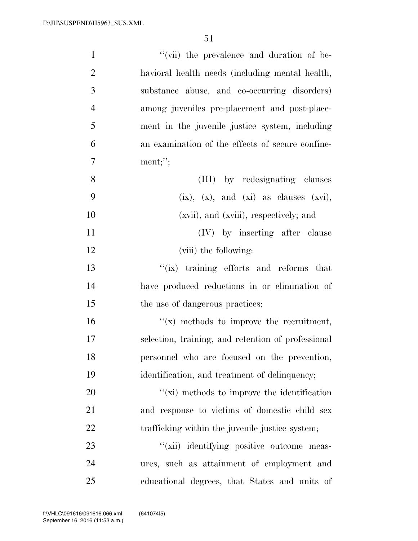| $\mathbf{1}$   | "(vii) the prevalence and duration of be-           |
|----------------|-----------------------------------------------------|
| $\mathbf{2}$   | havioral health needs (including mental health,     |
| 3              | substance abuse, and co-occurring disorders)        |
| $\overline{4}$ | among juveniles pre-placement and post-place-       |
| 5              | ment in the juvenile justice system, including      |
| 6              | an examination of the effects of secure confine-    |
| $\overline{7}$ | ment;";                                             |
| 8              | (III) by redesignating clauses                      |
| 9              | $(ix), (x), and (xi)$ as clauses $(xvi),$           |
| 10             | (xvii), and (xviii), respectively; and              |
| 11             | (IV) by inserting after clause                      |
| 12             | (viii) the following:                               |
| 13             | "(ix) training efforts and reforms that             |
| 14             | have produced reductions in or elimination of       |
| 15             | the use of dangerous practices;                     |
| 16             | $f(x)$ methods to improve the recruitment,          |
| 17             | selection, training, and retention of professional  |
| 18             | personnel who are focused on the prevention,        |
| 19             | identification, and treatment of delinquency;       |
| 20             | $\lq\lq$ (xi) methods to improve the identification |
| 21             | and response to victims of domestic child sex       |
| 22             | trafficking within the juvenile justice system;     |
| 23             | "(xii) identifying positive outcome meas-           |
| 24             | ures, such as attainment of employment and          |
| 25             | educational degrees, that States and units of       |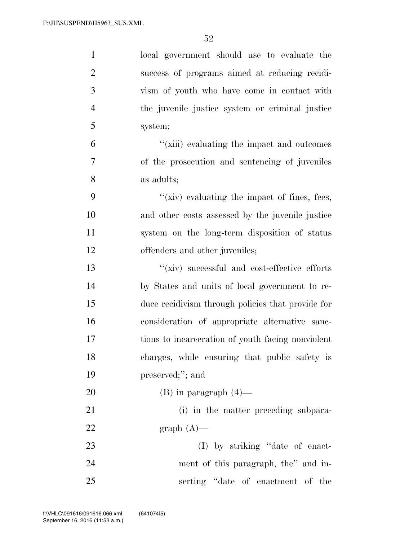| $\mathbf{1}$   | local government should use to evaluate the       |
|----------------|---------------------------------------------------|
| $\overline{2}$ | success of programs aimed at reducing recidi-     |
| 3              | vism of youth who have come in contact with       |
| $\overline{4}$ | the juvenile justice system or criminal justice   |
| 5              | system;                                           |
| 6              | "(xiii) evaluating the impact and outcomes        |
| 7              | of the prosecution and sentencing of juveniles    |
| 8              | as adults;                                        |
| 9              | "(xiv) evaluating the impact of fines, fees,      |
| 10             | and other costs assessed by the juvenile justice  |
| 11             | system on the long-term disposition of status     |
| 12             | offenders and other juveniles;                    |
| 13             | "(xiv) successful and cost-effective efforts      |
| 14             | by States and units of local government to re-    |
| 15             | duce recidivism through policies that provide for |
| 16             | consideration of appropriate alternative sanc-    |
| 17             | tions to incarceration of youth facing nonviolent |
| 18             | charges, while ensuring that public safety is     |
| 19             | preserved;"; and                                  |
| 20             | $(B)$ in paragraph $(4)$ —                        |
| 21             | (i) in the matter preceding subpara-              |
| 22             | graph $(A)$ —                                     |
| 23             | (I) by striking "date of enact-                   |
| 24             | ment of this paragraph, the" and in-              |
| 25             | serting "date of enactment of the                 |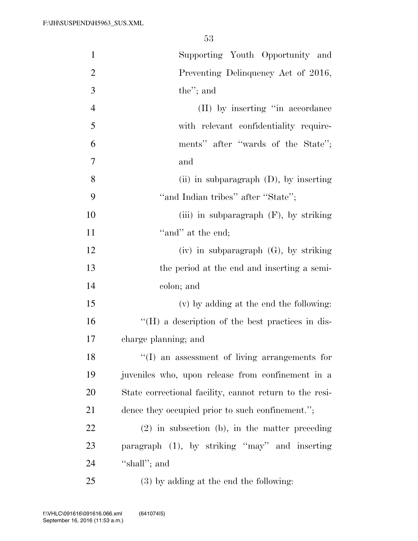| $\mathbf{1}$   | Supporting Youth Opportunity and                        |
|----------------|---------------------------------------------------------|
| $\overline{2}$ | Preventing Delinquency Act of 2016,                     |
| 3              | the"; and                                               |
| $\overline{4}$ | (II) by inserting "in accordance                        |
| 5              | with relevant confidentiality require-                  |
| 6              | ments" after "wards of the State";                      |
| 7              | and                                                     |
| 8              | (ii) in subparagraph $(D)$ , by inserting               |
| 9              | "and Indian tribes" after "State";                      |
| 10             | (iii) in subparagraph $(F)$ , by striking               |
| 11             | "and" at the end;                                       |
| 12             | $(iv)$ in subparagraph $(G)$ , by striking              |
| 13             | the period at the end and inserting a semi-             |
| 14             | colon; and                                              |
| 15             | (v) by adding at the end the following:                 |
| 16             | "(H) a description of the best practices in dis-        |
| 17             | charge planning; and                                    |
| 18             | "(I) an assessment of living arrangements for           |
| 19             | juveniles who, upon release from confinement in a       |
| 20             | State correctional facility, cannot return to the resi- |
| 21             | dence they occupied prior to such confinement.";        |
| 22             | $(2)$ in subsection (b), in the matter preceding        |
| 23             | paragraph (1), by striking "may" and inserting          |
| 24             | "shall"; and                                            |
| 25             | $(3)$ by adding at the end the following:               |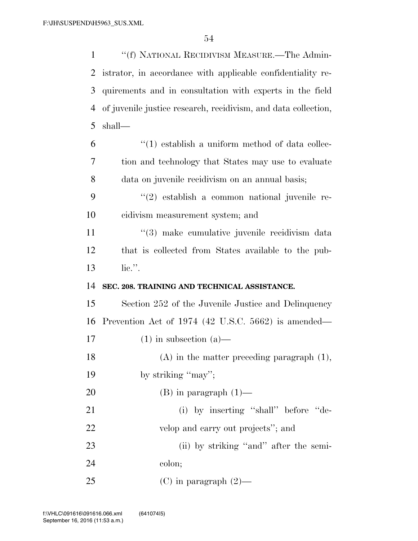''(f) NATIONAL RECIDIVISM MEASURE.—The Admin- istrator, in accordance with applicable confidentiality re- quirements and in consultation with experts in the field of juvenile justice research, recidivism, and data collection, shall—  $(1)$  establish a uniform method of data collec- tion and technology that States may use to evaluate data on juvenile recidivism on an annual basis; ''(2) establish a common national juvenile re- cidivism measurement system; and 11 ''(3) make cumulative juvenile recidivism data that is collected from States available to the pub- lic.''. **SEC. 208. TRAINING AND TECHNICAL ASSISTANCE.**  Section 252 of the Juvenile Justice and Delinquency Prevention Act of 1974 (42 U.S.C. 5662) is amended— 17 (1) in subsection  $(a)$ — (A) in the matter preceding paragraph (1), 19 by striking "may"; 20 (B) in paragraph  $(1)$ — 21 (i) by inserting "shall" before "de- velop and carry out projects''; and 23 (ii) by striking "and" after the semi-colon;

25 (C) in paragraph  $(2)$ —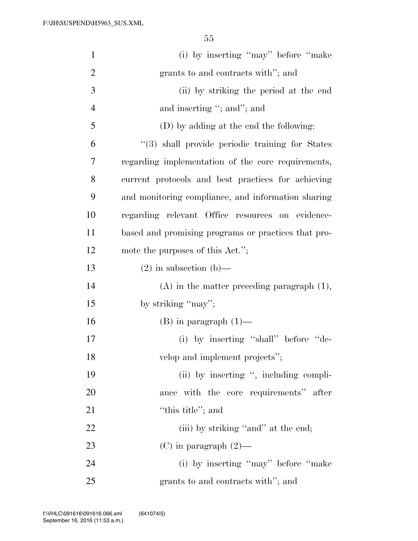| $\mathbf{1}$   | (i) by inserting "may" before "make"                |
|----------------|-----------------------------------------------------|
| $\overline{2}$ | grants to and contracts with"; and                  |
| 3              | (ii) by striking the period at the end              |
| $\overline{4}$ | and inserting "; and"; and                          |
| 5              | (D) by adding at the end the following:             |
| 6              | "(3) shall provide periodic training for States     |
| 7              | regarding implementation of the core requirements,  |
| 8              | current protocols and best practices for achieving  |
| 9              | and monitoring compliance, and information sharing  |
| 10             | regarding relevant Office resources on evidence-    |
| 11             | based and promising programs or practices that pro- |
| 12             | mote the purposes of this Act.";                    |
| 13             | $(2)$ in subsection $(b)$ —                         |
| 14             | $(A)$ in the matter preceding paragraph $(1)$ ,     |
| 15             | by striking "may";                                  |
| 16             | $(B)$ in paragraph $(1)$ —                          |
| 17             | (i) by inserting "shall" before "de-                |
| 18             | velop and implement projects";                      |
| 19             | (ii) by inserting ", including compli-              |
| 20             | ance with the core requirements" after              |
| 21             | "this title"; and                                   |
| 22             | (iii) by striking "and" at the end;                 |
| 23             | $(C)$ in paragraph $(2)$ —                          |
| 24             | (i) by inserting "may" before "make"                |
| 25             | grants to and contracts with"; and                  |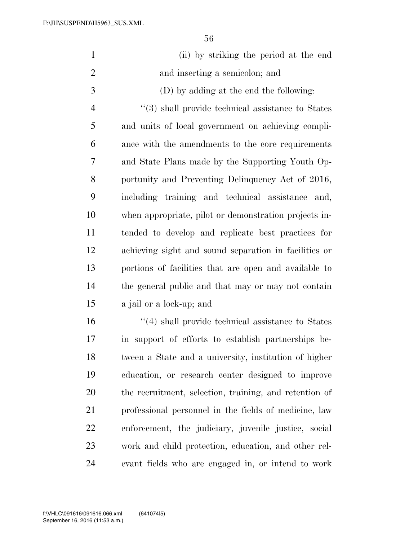| $\mathbf{1}$   | (ii) by striking the period at the end                   |
|----------------|----------------------------------------------------------|
| $\overline{2}$ | and inserting a semicolon; and                           |
| 3              | (D) by adding at the end the following:                  |
| $\overline{4}$ | $\lq(3)$ shall provide technical assistance to States    |
| 5              | and units of local government on achieving compli-       |
| 6              | ance with the amendments to the core requirements        |
| 7              | and State Plans made by the Supporting Youth Op-         |
| 8              | portunity and Preventing Delinquency Act of 2016,        |
| 9              | including training and technical assistance and,         |
| 10             | when appropriate, pilot or demonstration projects in-    |
| 11             | tended to develop and replicate best practices for       |
| 12             | achieving sight and sound separation in facilities or    |
| 13             | portions of facilities that are open and available to    |
| 14             | the general public and that may or may not contain       |
| 15             | a jail or a lock-up; and                                 |
| 16             | $\cdot$ (4) shall provide technical assistance to States |
| 17             | in support of efforts to establish partnerships be-      |
| 18             | tween a State and a university, institution of higher    |
| 19             | education, or research center designed to improve        |
| 20             | the recruitment, selection, training, and retention of   |
| 21             | professional personnel in the fields of medicine, law    |
| 22             | enforcement, the judiciary, juvenile justice, social     |
| 23             | work and child protection, education, and other rel-     |
| 24             | evant fields who are engaged in, or intend to work       |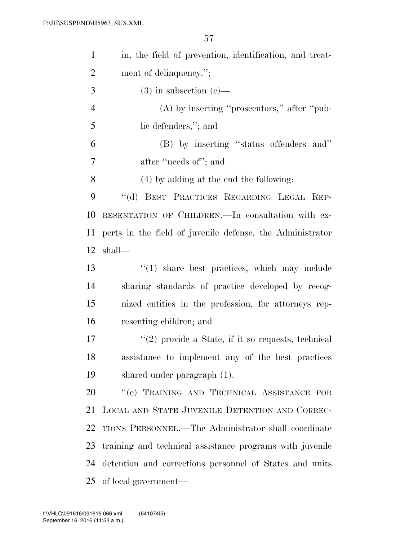| $\mathbf{1}$   | in, the field of prevention, identification, and treat-   |
|----------------|-----------------------------------------------------------|
| $\overline{2}$ | ment of delinquency.";                                    |
| 3              | $(3)$ in subsection $(e)$ —                               |
| $\overline{4}$ | $(A)$ by inserting "prosecutors," after "pub-             |
| 5              | lic defenders,"; and                                      |
| 6              | (B) by inserting "status offenders and"                   |
| 7              | after "needs of"; and                                     |
| 8              | (4) by adding at the end the following:                   |
| 9              | BEST PRACTICES REGARDING LEGAL REP-<br>$\lq\lq (d)$       |
| 10             | RESENTATION OF CHILDREN.—In consultation with ex-         |
| 11             | perts in the field of juvenile defense, the Administrator |
| 12             | shall—                                                    |
| 13             | $"(1)$ share best practices, which may include            |
| 14             | sharing standards of practice developed by recog-         |
| 15             | nized entities in the profession, for attorneys rep-      |
| 16             | resenting children; and                                   |
| 17             | $\lq(2)$ provide a State, if it so requests, technical    |
| 18             | assistance to implement any of the best practices         |
| 19             | shared under paragraph (1).                               |
| 20             | "(e) TRAINING AND TECHNICAL ASSISTANCE FOR                |
| 21             | LOCAL AND STATE JUVENILE DETENTION AND CORREC-            |
| 22             | TIONS PERSONNEL.—The Administrator shall coordinate       |
| 23             | training and technical assistance programs with juvenile  |
| 24             | detention and corrections personnel of States and units   |
| 25             | of local government—                                      |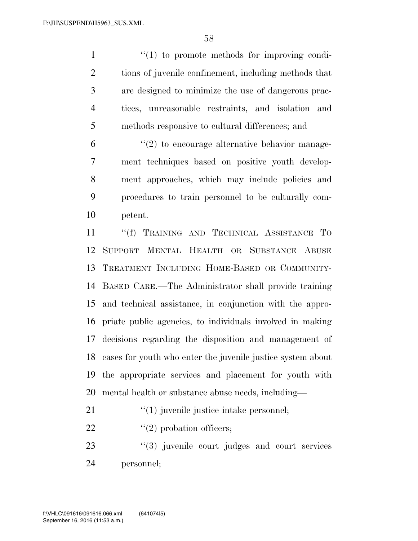$\frac{1}{1}$  to promote methods for improving condi- tions of juvenile confinement, including methods that are designed to minimize the use of dangerous prac- tices, unreasonable restraints, and isolation and methods responsive to cultural differences; and

 $(2)$  to encourage alternative behavior manage- ment techniques based on positive youth develop- ment approaches, which may include policies and procedures to train personnel to be culturally com-petent.

11 "(f) TRAINING AND TECHNICAL ASSISTANCE TO SUPPORT MENTAL HEALTH OR SUBSTANCE ABUSE TREATMENT INCLUDING HOME-BASED OR COMMUNITY- BASED CARE.—The Administrator shall provide training and technical assistance, in conjunction with the appro- priate public agencies, to individuals involved in making decisions regarding the disposition and management of cases for youth who enter the juvenile justice system about the appropriate services and placement for youth with mental health or substance abuse needs, including—

21  $\frac{1}{2}$  (1) juvenile justice intake personnel;

22  $\qquad$  ''(2) probation officers;

 ''(3) juvenile court judges and court services personnel;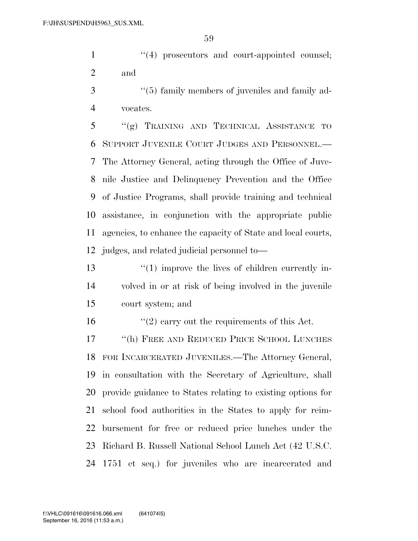1  $\frac{u'(4)}{2}$  prosecutors and court-appointed counsel; and

3 ''(5) family members of juveniles and family ad-vocates.

 ''(g) TRAINING AND TECHNICAL ASSISTANCE TO SUPPORT JUVENILE COURT JUDGES AND PERSONNEL.— The Attorney General, acting through the Office of Juve- nile Justice and Delinquency Prevention and the Office of Justice Programs, shall provide training and technical assistance, in conjunction with the appropriate public agencies, to enhance the capacity of State and local courts, judges, and related judicial personnel to—

13 ''(1) improve the lives of children currently in- volved in or at risk of being involved in the juvenile court system; and

''(2) carry out the requirements of this Act.

17 "(h) FREE AND REDUCED PRICE SCHOOL LUNCHES FOR INCARCERATED JUVENILES.—The Attorney General, in consultation with the Secretary of Agriculture, shall provide guidance to States relating to existing options for school food authorities in the States to apply for reim- bursement for free or reduced price lunches under the Richard B. Russell National School Lunch Act (42 U.S.C. 1751 et seq.) for juveniles who are incarcerated and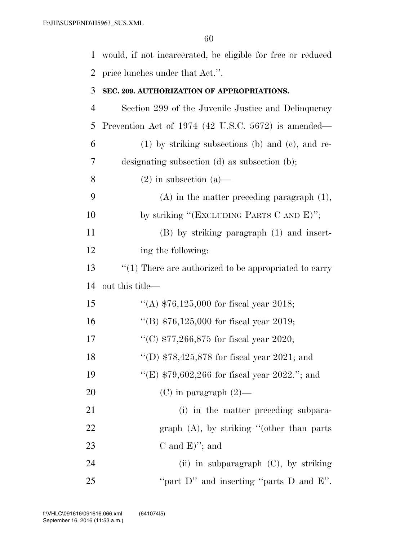would, if not incarcerated, be eligible for free or reduced price lunches under that Act.''. **SEC. 209. AUTHORIZATION OF APPROPRIATIONS.**  Section 299 of the Juvenile Justice and Delinquency Prevention Act of 1974 (42 U.S.C. 5672) is amended— (1) by striking subsections (b) and (c), and re- designating subsection (d) as subsection (b); 8 (2) in subsection (a) (A) in the matter preceding paragraph (1), 10 by striking "(EXCLUDING PARTS C AND E)"; (B) by striking paragraph (1) and insert- ing the following: ''(1) There are authorized to be appropriated to carry out this title— ''(A) \$76,125,000 for fiscal year 2018; ''(B) \$76,125,000 for fiscal year 2019; ''(C) \$77,266,875 for fiscal year 2020; ''(D) \$78,425,878 for fiscal year 2021; and 19 ''(E) \$79,602,266 for fiscal year 2022.''; and 20 (C) in paragraph  $(2)$ — 21 (i) in the matter preceding subpara-22 graph (A), by striking "(other than parts 23 C and E)"; and (ii) in subparagraph (C), by striking 25 "part D" and inserting "parts D and E".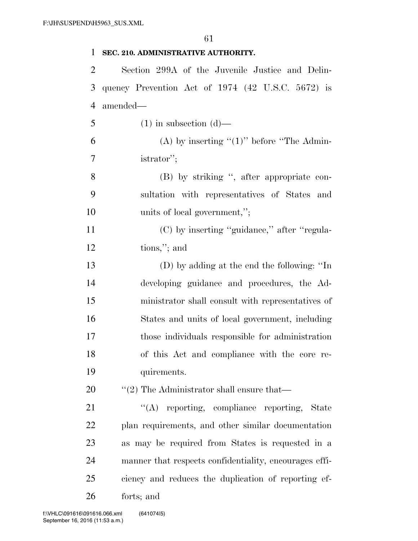| 1  | SEC. 210. ADMINISTRATIVE AUTHORITY.                    |
|----|--------------------------------------------------------|
| 2  | Section 299A of the Juvenile Justice and Delin-        |
| 3  | quency Prevention Act of $1974$ (42 U.S.C. 5672) is    |
| 4  | amended—                                               |
| 5  | $(1)$ in subsection $(d)$ —                            |
| 6  | (A) by inserting " $(1)$ " before "The Admin-          |
| 7  | istrator";                                             |
| 8  | (B) by striking ", after appropriate con-              |
| 9  | sultation with representatives of States and           |
| 10 | units of local government,";                           |
| 11 | (C) by inserting "guidance," after "regula-            |
| 12 | tions,"; and                                           |
| 13 | (D) by adding at the end the following: "In            |
| 14 | developing guidance and procedures, the Ad-            |
| 15 | ministrator shall consult with representatives of      |
| 16 | States and units of local government, including        |
| 17 | those individuals responsible for administration       |
| 18 | of this Act and compliance with the core re-           |
| 19 | quirements.                                            |
| 20 | $\cdot\cdot$ (2) The Administrator shall ensure that—  |
| 21 | "(A) reporting, compliance reporting, State            |
| 22 | plan requirements, and other similar documentation     |
| 23 | as may be required from States is requested in a       |
| 24 | manner that respects confidentiality, encourages effi- |
| 25 | ciency and reduces the duplication of reporting ef-    |
| 26 | forts; and                                             |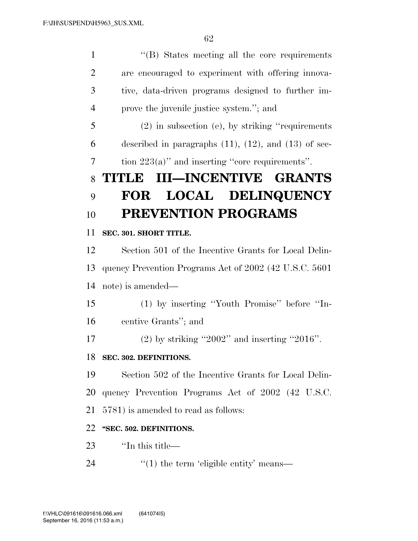''(B) States meeting all the core requirements are encouraged to experiment with offering innova- tive, data-driven programs designed to further im- prove the juvenile justice system.''; and (2) in subsection (e), by striking ''requirements 6 described in paragraphs  $(11)$ ,  $(12)$ , and  $(13)$  of sec- tion 223(a)'' and inserting ''core requirements''. **TITLE III—INCENTIVE GRANTS FOR LOCAL DELINQUENCY PREVENTION PROGRAMS SEC. 301. SHORT TITLE.**  Section 501 of the Incentive Grants for Local Delin- quency Prevention Programs Act of 2002 (42 U.S.C. 5601 note) is amended— (1) by inserting ''Youth Promise'' before ''In- centive Grants''; and (2) by striking ''2002'' and inserting ''2016''. **SEC. 302. DEFINITIONS.**  Section 502 of the Incentive Grants for Local Delin- quency Prevention Programs Act of 2002 (42 U.S.C. 5781) is amended to read as follows: **''SEC. 502. DEFINITIONS.**   $\qquad$  The this title—  $\frac{1}{1}$  the term 'eligible entity' means—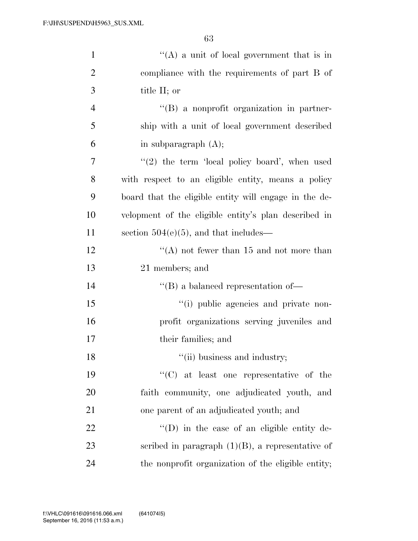| $\mathbf{1}$   | "(A) a unit of local government that is in            |
|----------------|-------------------------------------------------------|
| $\overline{2}$ | compliance with the requirements of part B of         |
| 3              | title II; or                                          |
| $\overline{4}$ | $\lq\lq (B)$ a nonprofit organization in partner-     |
| 5              | ship with a unit of local government described        |
| 6              | in subparagraph $(A)$ ;                               |
| 7              | "(2) the term 'local policy board', when used         |
| 8              | with respect to an eligible entity, means a policy    |
| 9              | board that the eligible entity will engage in the de- |
| 10             | velopment of the eligible entity's plan described in  |
| 11             | section $504(e)(5)$ , and that includes—              |
| 12             | "(A) not fewer than $15$ and not more than            |
| 13             | 21 members; and                                       |
| 14             | $\lq\lq$ a balanced representation of —               |
| 15             | "(i) public agencies and private non-                 |
| 16             | profit organizations serving juveniles and            |
| 17             | their families; and                                   |
| 18             | "(ii) business and industry;                          |
| 19             | "(C) at least one representative of the               |
| 20             | faith community, one adjudicated youth, and           |
| 21             | one parent of an adjudicated youth; and               |
| 22             | $\lq\lq$ (D) in the case of an eligible entity de-    |
| 23             | scribed in paragraph $(1)(B)$ , a representative of   |
| 24             | the nonprofit organization of the eligible entity;    |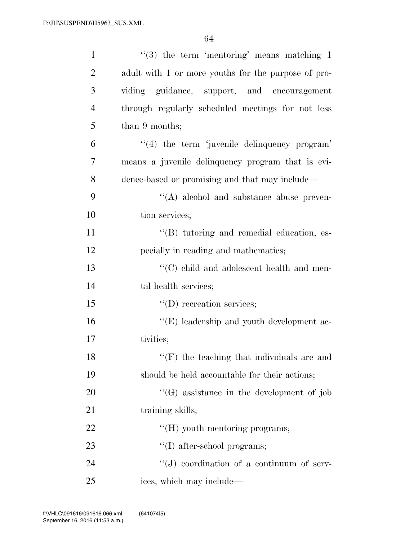| $\mathbf{1}$   | $\lq(3)$ the term 'mentoring' means matching 1      |
|----------------|-----------------------------------------------------|
| $\overline{2}$ | adult with 1 or more youths for the purpose of pro- |
| 3              | viding guidance, support, and encouragement         |
| $\overline{4}$ | through regularly scheduled meetings for not less   |
| 5              | than 9 months;                                      |
| 6              | "(4) the term 'juvenile delinquency program'        |
| $\overline{7}$ | means a juvenile delinquency program that is evi-   |
| 8              | dence-based or promising and that may include—      |
| 9              | "(A) alcohol and substance abuse preven-            |
| 10             | tion services;                                      |
| 11             | "(B) tutoring and remedial education, es-           |
| 12             | pecially in reading and mathematics;                |
| 13             | $\cdot$ (C) child and adolescent health and men-    |
| 14             | tal health services;                                |
| 15             | $\lq\lq$ (D) recreation services;                   |
| 16             | "(E) leadership and youth development ac-           |
| 17             | tivities;                                           |
| 18             | $\lq\lq(F)$ the teaching that individuals are and   |
| 19             | should be held accountable for their actions;       |
| 20             | $\lq\lq(G)$ assistance in the development of job    |
| 21             | training skills;                                    |
| 22             | "(H) youth mentoring programs;                      |
| 23             | $\lq\lq$ (I) after-school programs;                 |
| 24             | "(J) coordination of a continuum of serv-           |
| 25             | ices, which may include—                            |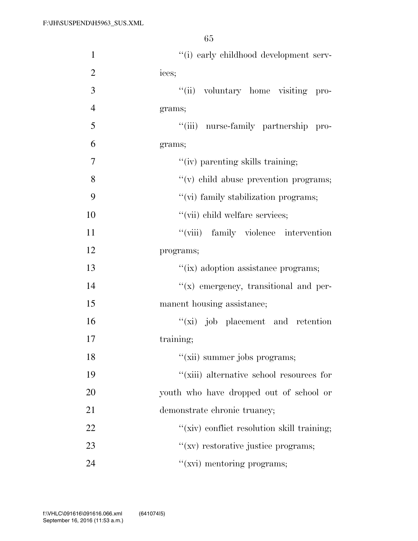| $\mathbf{1}$   | "(i) early childhood development serv-     |
|----------------|--------------------------------------------|
| $\overline{2}$ | ices;                                      |
| 3              | "(ii) voluntary home visiting pro-         |
| $\overline{4}$ | grams;                                     |
| 5              | "(iii) nurse-family partnership pro-       |
| 6              | grams;                                     |
| 7              | "(iv) parenting skills training;           |
| 8              | "(v) child abuse prevention programs;      |
| 9              | "(vi) family stabilization programs;       |
| 10             | "(vii) child welfare services;             |
| 11             | "(viii) family violence intervention       |
| 12             | programs;                                  |
| 13             | "(ix) adoption assistance programs;        |
| 14             | $f(x)$ emergency, transitional and per-    |
| 15             | manent housing assistance;                 |
| 16             | "(xi) job placement and retention          |
| 17             | training;                                  |
| 18             | "(xii) summer jobs programs;               |
| 19             | "(xiii) alternative school resources for   |
| 20             | youth who have dropped out of school or    |
| 21             | demonstrate chronic truancy;               |
| 22             | "(xiv) conflict resolution skill training; |
| 23             | "(xv) restorative justice programs;        |
| 24             | "(xvi) mentoring programs;                 |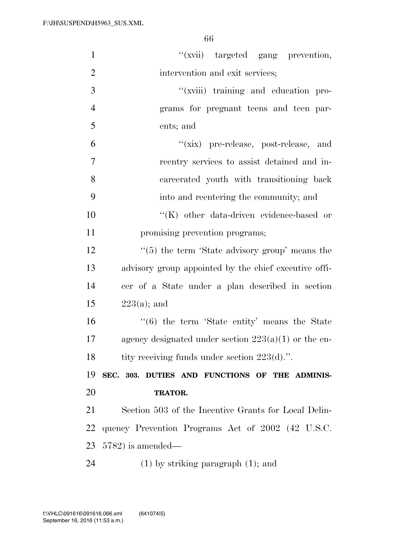| $\mathbf{1}$   | "(xvii) targeted gang prevention,                        |
|----------------|----------------------------------------------------------|
| $\overline{2}$ | intervention and exit services;                          |
| 3              | "(xviii) training and education pro-                     |
| $\overline{4}$ | grams for pregnant teens and teen par-                   |
| 5              | ents; and                                                |
| 6              | "(xix) pre-release, post-release, and                    |
| 7              | reentry services to assist detained and in-              |
| 8              | careerated youth with transitioning back                 |
| 9              | into and reentering the community; and                   |
| 10             | $\lq\lq$ (K) other data-driven evidence-based or         |
| 11             | promising prevention programs;                           |
| 12             | $\lq(5)$ the term 'State advisory group' means the       |
| 13             | advisory group appointed by the chief executive offi-    |
| 14             | cer of a State under a plan described in section         |
|                |                                                          |
| 15             | $223(a)$ ; and                                           |
| 16             | $\cdot\cdot$ (6) the term 'State entity' means the State |
| 17             | agency designated under section $223(a)(1)$ or the en-   |
| 18             | tity receiving funds under section 223(d).".             |
| 19             | SEC. 303. DUTIES AND FUNCTIONS OF THE ADMINIS-           |
| 20             | TRATOR.                                                  |
| 21             | Section 503 of the Incentive Grants for Local Delin-     |
| 22             | quency Prevention Programs Act of 2002 (42 U.S.C.        |
| 23             | $5782$ ) is amended—                                     |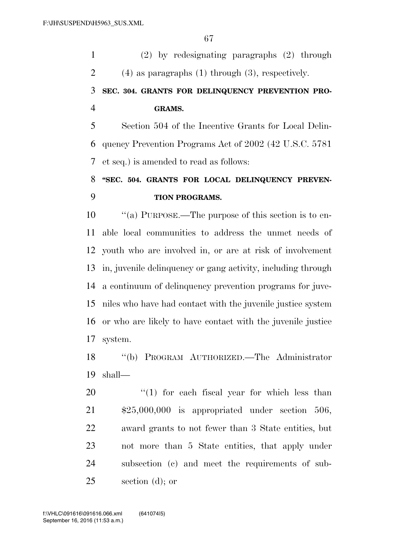(2) by redesignating paragraphs (2) through (4) as paragraphs (1) through (3), respectively. **SEC. 304. GRANTS FOR DELINQUENCY PREVENTION PRO- GRAMS.**  Section 504 of the Incentive Grants for Local Delin- quency Prevention Programs Act of 2002 (42 U.S.C. 5781 et seq.) is amended to read as follows: **''SEC. 504. GRANTS FOR LOCAL DELINQUENCY PREVEN- TION PROGRAMS.**  ''(a) PURPOSE.—The purpose of this section is to en- able local communities to address the unmet needs of youth who are involved in, or are at risk of involvement in, juvenile delinquency or gang activity, including through a continuum of delinquency prevention programs for juve-niles who have had contact with the juvenile justice system

 or who are likely to have contact with the juvenile justice system.

 ''(b) PROGRAM AUTHORIZED.—The Administrator shall—

 $\frac{1}{20}$  (1) for each fiscal year for which less than \$25,000,000 is appropriated under section 506, award grants to not fewer than 3 State entities, but not more than 5 State entities, that apply under subsection (c) and meet the requirements of sub-section (d); or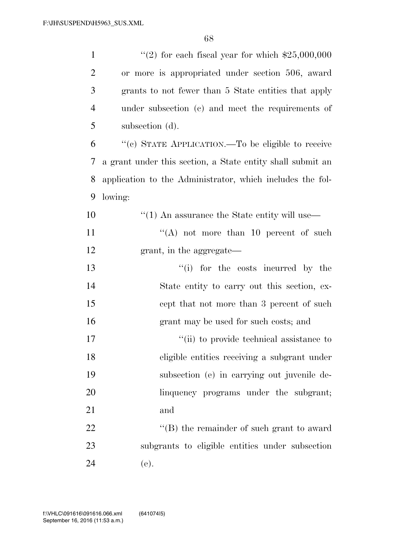| $\mathbf{1}$   | "(2) for each fiscal year for which $\$25,000,000$           |
|----------------|--------------------------------------------------------------|
| $\overline{2}$ | or more is appropriated under section 506, award             |
| 3              | grants to not fewer than 5 State entities that apply         |
| $\overline{4}$ | under subsection (c) and meet the requirements of            |
| 5              | subsection (d).                                              |
| 6              | "(c) STATE APPLICATION.—To be eligible to receive            |
| 7              | a grant under this section, a State entity shall submit an   |
| 8              | application to the Administrator, which includes the fol-    |
| 9              | lowing:                                                      |
| 10             | $\cdot\cdot\cdot(1)$ An assurance the State entity will use— |
| 11             | $(4)$ not more than 10 percent of such                       |
| 12             | grant, in the aggregate—                                     |
| 13             | "(i) for the costs incurred by the                           |
| 14             | State entity to carry out this section, ex-                  |
| 15             | cept that not more than 3 percent of such                    |
| 16             | grant may be used for such costs; and                        |
| 17             | "(ii) to provide technical assistance to                     |
| 18             | eligible entities receiving a subgrant under                 |
| 19             | subsection (e) in carrying out juvenile de-                  |
| 20             | linquency programs under the subgrant;                       |
| 21             | and                                                          |
| 22             | "(B) the remainder of such grant to award                    |
| 23             | subgrants to eligible entities under subsection              |
| 24             | (e).                                                         |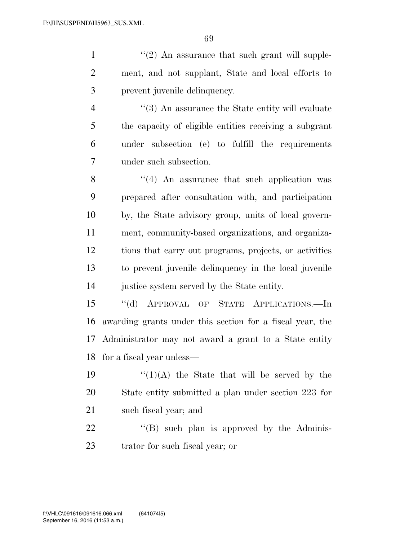$\frac{1}{2}$  ''(2) An assurance that such grant will supple- ment, and not supplant, State and local efforts to prevent juvenile delinquency.

4 ''(3) An assurance the State entity will evaluate the capacity of eligible entities receiving a subgrant under subsection (e) to fulfill the requirements under such subsection.

 $\frac{8}{10}$  ''(4) An assurance that such application was prepared after consultation with, and participation by, the State advisory group, units of local govern- ment, community-based organizations, and organiza- tions that carry out programs, projects, or activities to prevent juvenile delinquency in the local juvenile justice system served by the State entity.

 ''(d) APPROVAL OF STATE APPLICATIONS.—In awarding grants under this section for a fiscal year, the Administrator may not award a grant to a State entity for a fiscal year unless—

19  $\frac{1}{2}$  (1)(A) the State that will be served by the State entity submitted a plan under section 223 for such fiscal year; and

 "(B) such plan is approved by the Adminis-trator for such fiscal year; or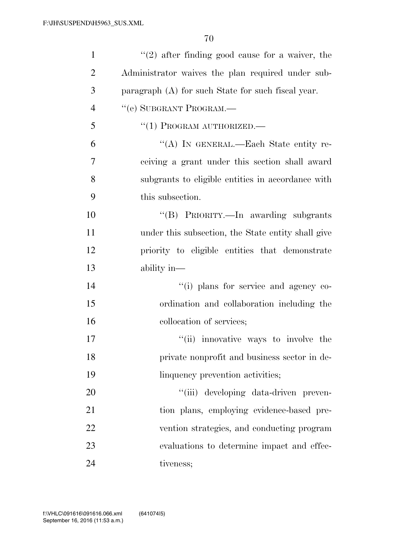| $\mathbf{1}$   | $(2)$ after finding good cause for a waiver, the   |
|----------------|----------------------------------------------------|
| $\overline{2}$ | Administrator waives the plan required under sub-  |
| 3              | paragraph (A) for such State for such fiscal year. |
| $\overline{4}$ | "(e) SUBGRANT PROGRAM.—                            |
| 5              | $``(1)$ PROGRAM AUTHORIZED.—                       |
| 6              | "(A) IN GENERAL.—Each State entity re-             |
| 7              | ceiving a grant under this section shall award     |
| 8              | subgrants to eligible entities in accordance with  |
| 9              | this subsection.                                   |
| 10             | "(B) PRIORITY.—In awarding subgrants               |
| 11             | under this subsection, the State entity shall give |
| 12             | priority to eligible entities that demonstrate     |
| 13             | ability in—                                        |
| 14             | "(i) plans for service and agency co-              |
| 15             | ordination and collaboration including the         |
| 16             | collocation of services;                           |
| 17             | "(ii) innovative ways to involve the               |
| 18             | private nonprofit and business sector in de-       |
| 19             | linquency prevention activities;                   |
| 20             | "(iii) developing data-driven preven-              |
| 21             | tion plans, employing evidence-based pre-          |
| 22             | vention strategies, and conducting program         |
| 23             | evaluations to determine impact and effec-         |
| 24             | tiveness;                                          |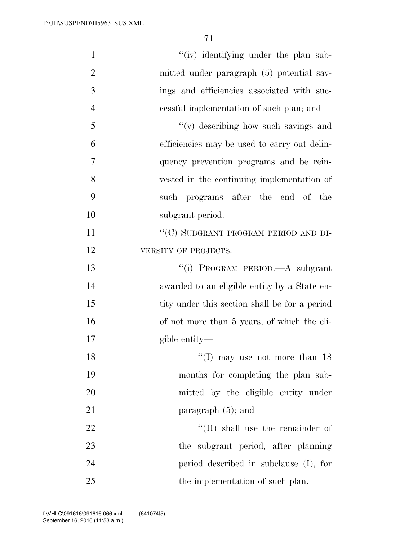| $\mathbf{1}$   | "(iv) identifying under the plan sub-         |
|----------------|-----------------------------------------------|
| $\overline{2}$ | mitted under paragraph (5) potential sav-     |
| 3              | ings and efficiencies associated with suc-    |
| $\overline{4}$ | cessful implementation of such plan; and      |
| 5              | $f'(v)$ describing how such savings and       |
| 6              | efficiencies may be used to carry out delin-  |
| 7              | quency prevention programs and be rein-       |
| 8              | vested in the continuing implementation of    |
| 9              | such programs after the end of the            |
| 10             | subgrant period.                              |
| 11             | "(C) SUBGRANT PROGRAM PERIOD AND DI-          |
| 12             | VERSITY OF PROJECTS.-                         |
| 13             | "(i) PROGRAM PERIOD.—A subgrant               |
| 14             | awarded to an eligible entity by a State en-  |
| 15             | tity under this section shall be for a period |
| 16             | of not more than 5 years, of which the eli-   |
| 17             | gible entity—                                 |
| 18             | "(I) may use not more than $18$               |
| 19             | months for completing the plan sub-           |
| 20             | mitted by the eligible entity under           |
| 21             | paragraph $(5)$ ; and                         |
| 22             | "(II) shall use the remainder of              |
| 23             | the subgrant period, after planning           |
| 24             | period described in subclause (I), for        |
| 25             | the implementation of such plan.              |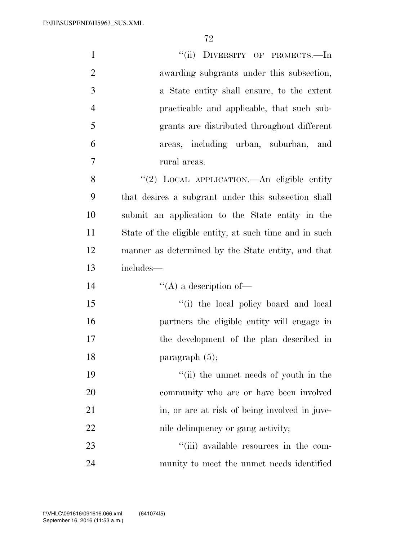| $\mathbf{1}$   | "(ii) DIVERSITY OF PROJECTS.—In                        |
|----------------|--------------------------------------------------------|
| $\overline{2}$ | awarding subgrants under this subsection,              |
| 3              | a State entity shall ensure, to the extent             |
| $\overline{4}$ | practicable and applicable, that such sub-             |
| 5              | grants are distributed throughout different            |
| 6              | areas, including urban, suburban, and                  |
| 7              | rural areas.                                           |
| 8              | "(2) LOCAL APPLICATION.—An eligible entity             |
| 9              | that desires a subgrant under this subsection shall    |
| 10             | submit an application to the State entity in the       |
| 11             | State of the eligible entity, at such time and in such |
| 12             | manner as determined by the State entity, and that     |
| 13             | includes—                                              |
| 14             | $\lq\lq$ (A) a description of —                        |
| 15             | "(i) the local policy board and local                  |
| 16             | partners the eligible entity will engage in            |
| 17             | the development of the plan described in               |
| 18             | paragraph $(5)$ ;                                      |
| 19             | "(ii) the unmet needs of youth in the                  |
| 20             | community who are or have been involved                |
| 21             | in, or are at risk of being involved in juve-          |
| 22             | nile delinquency or gang activity;                     |
| 23             | "(iii) available resources in the com-                 |
| 24             | munity to meet the unmet needs identified              |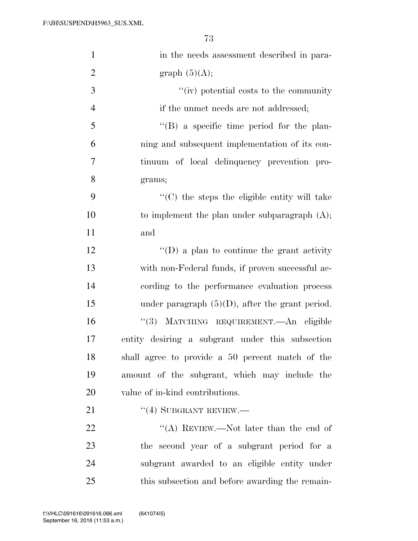| $\mathbf{1}$     | in the needs assessment described in para-         |
|------------------|----------------------------------------------------|
| $\overline{2}$   | graph $(5)(A);$                                    |
| 3                | "(iv) potential costs to the community             |
| $\overline{4}$   | if the unmet needs are not addressed;              |
| 5                | $\lq\lq (B)$ a specific time period for the plan-  |
| 6                | ning and subsequent implementation of its con-     |
| $\boldsymbol{7}$ | tinuum of local delinquency prevention pro-        |
| 8                | grams;                                             |
| 9                | "(C) the steps the eligible entity will take       |
| 10               | to implement the plan under subparagraph $(A)$ ;   |
| 11               | and                                                |
| 12               | $\lq\lq$ (D) a plan to continue the grant activity |
| 13               | with non-Federal funds, if proven successful ac-   |
| 14               | cording to the performance evaluation process      |
| 15               | under paragraph $(5)(D)$ , after the grant period. |
| 16               | "(3) MATCHING REQUIREMENT. An eligible             |
| 17               | entity desiring a subgrant under this subsection   |
| 18               | shall agree to provide a 50 percent match of the   |
| 19               | amount of the subgrant, which may include the      |
| 20               | value of in-kind contributions.                    |
| 21               | $``(4)$ SUBGRANT REVIEW.—                          |
| 22               | "(A) REVIEW.—Not later than the end of             |
| 23               | the second year of a subgrant period for a         |
| 24               | subgrant awarded to an eligible entity under       |
| 25               | this subsection and before awarding the remain-    |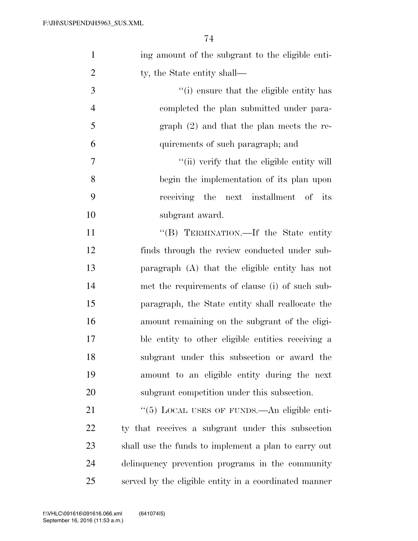| $\mathbf{1}$   | ing amount of the subgrant to the eligible enti-        |
|----------------|---------------------------------------------------------|
| $\overline{2}$ | ty, the State entity shall—                             |
| 3              | "(i) ensure that the eligible entity has                |
| $\overline{4}$ | completed the plan submitted under para-                |
| 5              | $graph (2)$ and that the plan meets the re-             |
| 6              | quirements of such paragraph; and                       |
| 7              | "(ii) verify that the eligible entity will              |
| 8              | begin the implementation of its plan upon               |
| 9              | receiving the next installment of its                   |
| 10             | subgrant award.                                         |
| 11             | "(B) TERMINATION.—If the State entity                   |
| 12             | finds through the review conducted under sub-           |
| 13             | paragraph (A) that the eligible entity has not          |
| 14             | met the requirements of clause (i) of such sub-         |
| 15             | paragraph, the State entity shall reallocate the        |
| 16             | amount remaining on the subgrant of the eligi-          |
| 17             | ble entity to other eligible entities receiving a       |
| 18             | subgrant under this subsection or award the             |
| 19             | amount to an eligible entity during the next            |
| 20             | subgrant competition under this subsection.             |
| 21             | $\cdot\cdot$ (5) LOCAL USES OF FUNDS.—An eligible enti- |
| 22             | ty that receives a subgrant under this subsection       |
| 23             | shall use the funds to implement a plan to carry out    |
| 24             | delinquency prevention programs in the community        |
| 25             | served by the eligible entity in a coordinated manner   |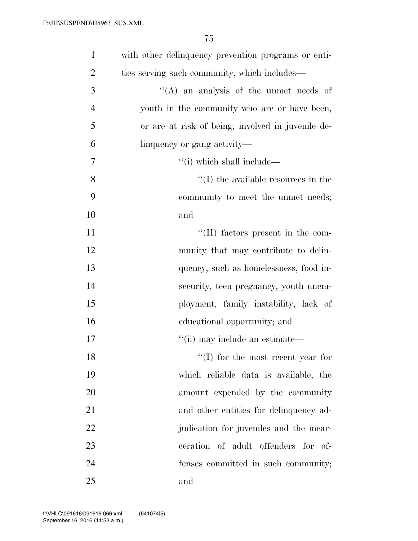| $\mathbf{1}$   | with other delinquency prevention programs or enti- |
|----------------|-----------------------------------------------------|
| $\overline{2}$ | ties serving such community, which includes—        |
| 3              | $\lq\lq$ and analysis of the unmet needs of         |
| $\overline{4}$ | youth in the community who are or have been,        |
| 5              | or are at risk of being, involved in juvenile de-   |
| 6              | linquency or gang activity—                         |
| 7              | $``(i)$ which shall include—                        |
| 8              | $\lq\lq$ (I) the available resources in the         |
| 9              | community to meet the unmet needs;                  |
| 10             | and                                                 |
| 11             | $\lq\lq$ (II) factors present in the com-           |
| 12             | munity that may contribute to delin-                |
| 13             | quency, such as homelessness, food in-              |
| 14             | security, teen pregnancy, youth unem-               |
| 15             | ployment, family instability, lack of               |
| 16             | educational opportunity; and                        |
| 17             | "(ii) may include an estimate—                      |
| 18             | $\lq\lq$ for the most recent year for               |
| 19             | which reliable data is available, the               |
| 20             | amount expended by the community                    |
| 21             | and other entities for delinquency ad-              |
| 22             | judication for juveniles and the incar-             |
| 23             | ceration of adult offenders for of-                 |
| 24             | fenses committed in such community;                 |
| 25             | and                                                 |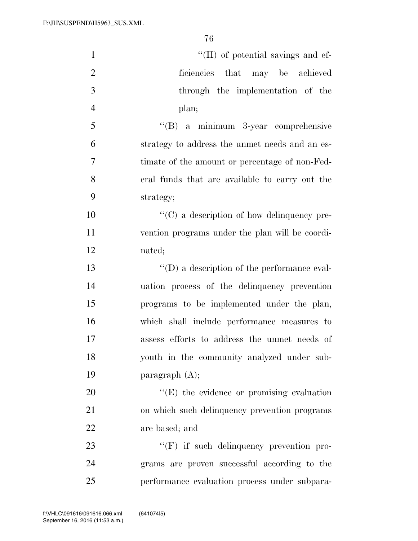| $\mathbf{1}$   | $\lq\lq$ (II) of potential savings and ef-          |
|----------------|-----------------------------------------------------|
| $\mathbf{2}$   | ficiencies that may be achieved                     |
| $\overline{3}$ | through the implementation of the                   |
| $\overline{4}$ | plan;                                               |
| 5              | $\lq\lq(B)$ a minimum 3-year comprehensive          |
| 6              | strategy to address the unmet needs and an es-      |
| 7              | timate of the amount or percentage of non-Fed-      |
| 8              | eral funds that are available to carry out the      |
| 9              | strategy;                                           |
| 10             | $\lq\lq$ (C) a description of how delinquency pre-  |
| 11             | vention programs under the plan will be coordi-     |
| 12             | nated;                                              |
| 13             | $\lq\lq$ (D) a description of the performance eval- |
| 14             | uation process of the delinquency prevention        |
| 15             | programs to be implemented under the plan,          |
| 16             | which shall include performance measures to         |
| 17             | assess efforts to address the unmet needs of        |
| 18             | youth in the community analyzed under sub-          |
| 19             | paragraph $(A)$ ;                                   |
| 20             | $\lq\lq(E)$ the evidence or promising evaluation    |
| 21             | on which such delinquency prevention programs       |
| 22             | are based; and                                      |
| 23             | $\lq\lq(F)$ if such delinquency prevention pro-     |
| 24             | grams are proven successful according to the        |
| 25             | performance evaluation process under subpara-       |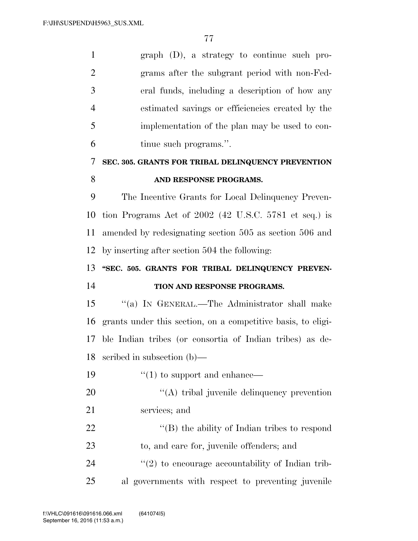| $\mathbf{1}$   | $graph$ (D), a strategy to continue such pro-                |
|----------------|--------------------------------------------------------------|
| $\overline{2}$ | grams after the subgrant period with non-Fed-                |
| 3              | eral funds, including a description of how any               |
| $\overline{4}$ | estimated savings or efficiencies created by the             |
| 5              | implementation of the plan may be used to con-               |
| 6              | tinue such programs.".                                       |
| 7              | SEC. 305. GRANTS FOR TRIBAL DELINQUENCY PREVENTION           |
| 8              | AND RESPONSE PROGRAMS.                                       |
| 9              | The Incentive Grants for Local Delinquency Preven-           |
| 10             | tion Programs Act of $2002$ (42 U.S.C. 5781 et seq.) is      |
| 11             | amended by redesignating section 505 as section 506 and      |
| 12             | by inserting after section 504 the following:                |
| 13             | "SEC. 505. GRANTS FOR TRIBAL DELINQUENCY PREVEN-             |
| 14             | TION AND RESPONSE PROGRAMS.                                  |
| 15             | "(a) IN GENERAL.—The Administrator shall make                |
|                |                                                              |
| 16             | grants under this section, on a competitive basis, to eligi- |
| 17             | ble Indian tribes (or consortia of Indian tribes) as de-     |
| 18             | scribed in subsection $(b)$ —                                |
| 19             | $\lq(1)$ to support and enhance—                             |
| 20             | $\lq\lq$ tribal juvenile delinquency prevention              |
| 21             | services; and                                                |
| 22             | "(B) the ability of Indian tribes to respond                 |
| 23             | to, and care for, juvenile offenders; and                    |

al governments with respect to preventing juvenile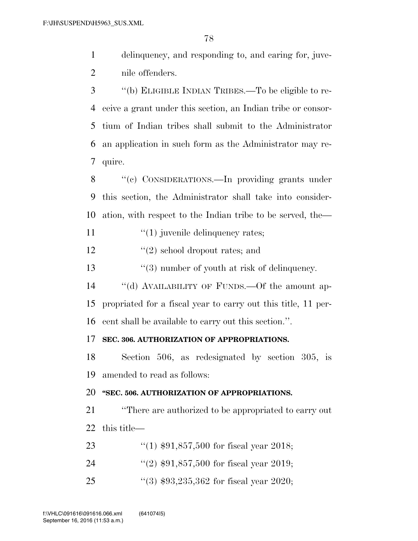delinquency, and responding to, and caring for, juve-nile offenders.

 ''(b) ELIGIBLE INDIAN TRIBES.—To be eligible to re- ceive a grant under this section, an Indian tribe or consor- tium of Indian tribes shall submit to the Administrator an application in such form as the Administrator may re-quire.

 ''(c) CONSIDERATIONS.—In providing grants under this section, the Administrator shall take into consider-ation, with respect to the Indian tribe to be served, the—

11  $\frac{1}{2}$  (1) juvenile delinquency rates;

12  $\frac{1}{2}$   $\frac{1}{2}$  school dropout rates; and

13 ''(3) number of youth at risk of delinquency.

 ''(d) AVAILABILITY OF FUNDS.—Of the amount ap- propriated for a fiscal year to carry out this title, 11 per-cent shall be available to carry out this section.''.

### **SEC. 306. AUTHORIZATION OF APPROPRIATIONS.**

 Section 506, as redesignated by section 305, is amended to read as follows:

### **''SEC. 506. AUTHORIZATION OF APPROPRIATIONS.**

 ''There are authorized to be appropriated to carry out this title—

''(1) \$91,857,500 for fiscal year 2018;

- ''(2) \$91,857,500 for fiscal year 2019;
- ''(3) \$93,235,362 for fiscal year 2020;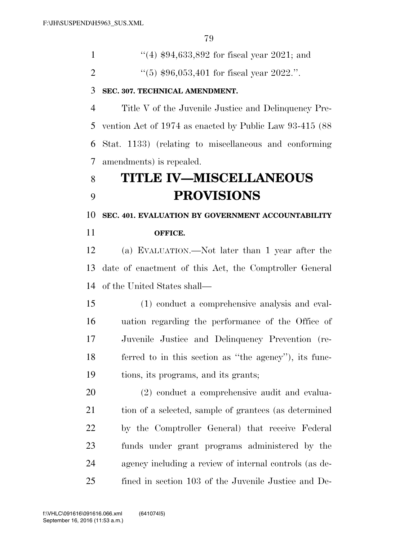| "(4) $$94,633,892$ for fiscal year 2021; and |
|----------------------------------------------|
| $(5)$ \$96,053,401 for fiscal year 2022.".   |

### **SEC. 307. TECHNICAL AMENDMENT.**

 Title V of the Juvenile Justice and Delinquency Pre- vention Act of 1974 as enacted by Public Law 93-415 (88 Stat. 1133) (relating to miscellaneous and conforming amendments) is repealed.

## **TITLE IV—MISCELLANEOUS PROVISIONS**

 **SEC. 401. EVALUATION BY GOVERNMENT ACCOUNTABILITY OFFICE.** 

 (a) EVALUATION.—Not later than 1 year after the date of enactment of this Act, the Comptroller General of the United States shall—

 (1) conduct a comprehensive analysis and eval- uation regarding the performance of the Office of Juvenile Justice and Delinquency Prevention (re- ferred to in this section as ''the agency''), its func-tions, its programs, and its grants;

 (2) conduct a comprehensive audit and evalua- tion of a selected, sample of grantees (as determined by the Comptroller General) that receive Federal funds under grant programs administered by the agency including a review of internal controls (as de-fined in section 103 of the Juvenile Justice and De-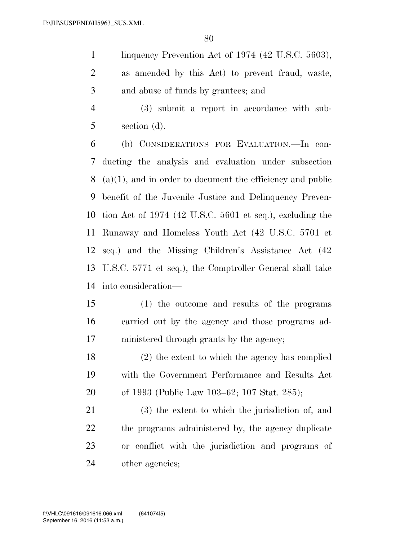linquency Prevention Act of 1974 (42 U.S.C. 5603),

 as amended by this Act) to prevent fraud, waste, and abuse of funds by grantees; and

 (3) submit a report in accordance with sub-section (d).

 (b) CONSIDERATIONS FOR EVALUATION.—In con- ducting the analysis and evaluation under subsection (a)(1), and in order to document the efficiency and public benefit of the Juvenile Justice and Delinquency Preven- tion Act of 1974 (42 U.S.C. 5601 et seq.), excluding the Runaway and Homeless Youth Act (42 U.S.C. 5701 et seq.) and the Missing Children's Assistance Act (42 U.S.C. 5771 et seq.), the Comptroller General shall take into consideration—

- (1) the outcome and results of the programs carried out by the agency and those programs ad-ministered through grants by the agency;
- (2) the extent to which the agency has complied with the Government Performance and Results Act of 1993 (Public Law 103–62; 107 Stat. 285);

 (3) the extent to which the jurisdiction of, and the programs administered by, the agency duplicate or conflict with the jurisdiction and programs of other agencies;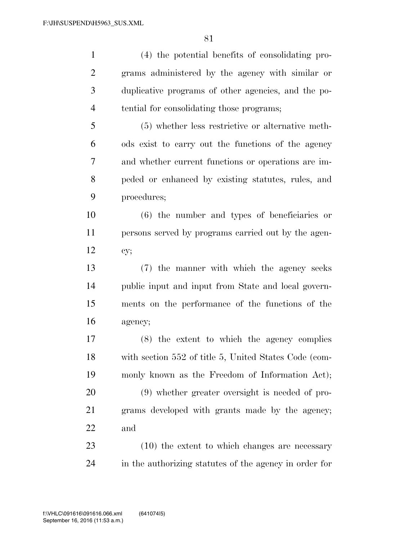| $\mathbf{1}$   | (4) the potential benefits of consolidating pro-       |
|----------------|--------------------------------------------------------|
| $\overline{2}$ | grams administered by the agency with similar or       |
| 3              | duplicative programs of other agencies, and the po-    |
| $\overline{4}$ | tential for consolidating those programs;              |
| 5              | (5) whether less restrictive or alternative meth-      |
| 6              | ods exist to carry out the functions of the agency     |
| 7              | and whether current functions or operations are im-    |
| 8              | peded or enhanced by existing statutes, rules, and     |
| 9              | procedures;                                            |
| 10             | $(6)$ the number and types of beneficiaries or         |
| 11             | persons served by programs carried out by the agen-    |
| 12             | cy;                                                    |
| 13             | (7) the manner with which the agency seeks             |
| 14             | public input and input from State and local govern-    |
| 15             | ments on the performance of the functions of the       |
| 16             | agency;                                                |
| 17             | (8) the extent to which the agency complies            |
| 18             | with section 552 of title 5, United States Code (com-  |
| 19             | monly known as the Freedom of Information Act);        |
| 20             | $(9)$ whether greater oversight is needed of pro-      |
| 21             | grams developed with grants made by the agency;        |
| 22             | and                                                    |
| 23             | $(10)$ the extent to which changes are necessary       |
| 24             | in the authorizing statutes of the agency in order for |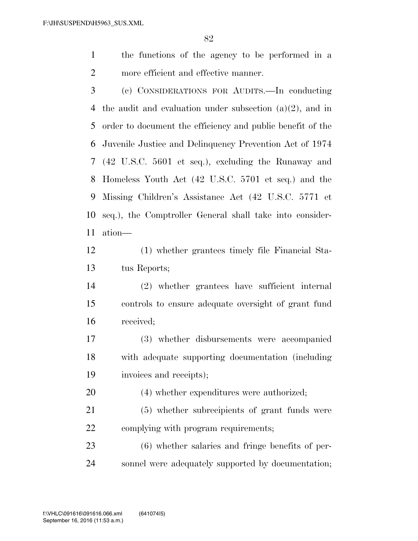- the functions of the agency to be performed in a more efficient and effective manner.
- (c) CONSIDERATIONS FOR AUDITS.—In conducting the audit and evaluation under subsection (a)(2), and in order to document the efficiency and public benefit of the Juvenile Justice and Delinquency Prevention Act of 1974 (42 U.S.C. 5601 et seq.), excluding the Runaway and Homeless Youth Act (42 U.S.C. 5701 et seq.) and the Missing Children's Assistance Act (42 U.S.C. 5771 et seq.), the Comptroller General shall take into consider-ation—
- (1) whether grantees timely file Financial Sta-tus Reports;
- (2) whether grantees have sufficient internal controls to ensure adequate oversight of grant fund received;
- (3) whether disbursements were accompanied with adequate supporting documentation (including invoices and receipts);
- (4) whether expenditures were authorized;
- (5) whether subrecipients of grant funds were complying with program requirements;
- (6) whether salaries and fringe benefits of per-sonnel were adequately supported by documentation;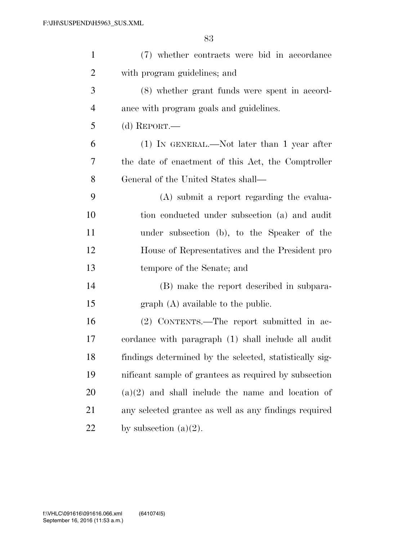| $\mathbf{1}$   | (7) whether contracts were bid in accordance            |
|----------------|---------------------------------------------------------|
| $\overline{2}$ | with program guidelines; and                            |
| 3              | (8) whether grant funds were spent in accord-           |
| $\overline{4}$ | ance with program goals and guidelines.                 |
| 5              | (d) REPORT.—                                            |
| 6              | $(1)$ IN GENERAL.—Not later than 1 year after           |
| 7              | the date of enactment of this Act, the Comptroller      |
| 8              | General of the United States shall—                     |
| 9              | (A) submit a report regarding the evalua-               |
| 10             | tion conducted under subsection (a) and audit           |
| 11             | under subsection (b), to the Speaker of the             |
| 12             | House of Representatives and the President pro          |
| 13             | tempore of the Senate; and                              |
| 14             | (B) make the report described in subpara-               |
| 15             | graph (A) available to the public.                      |
| 16             | (2) CONTENTS.—The report submitted in ac-               |
| 17             | cordance with paragraph (1) shall include all audit     |
| 18             | findings determined by the selected, statistically sig- |
| 19             | nificant sample of grantees as required by subsection   |
| 20             | $(a)(2)$ and shall include the name and location of     |
| 21             | any selected grantee as well as any findings required   |
| 22             | by subsection $(a)(2)$ .                                |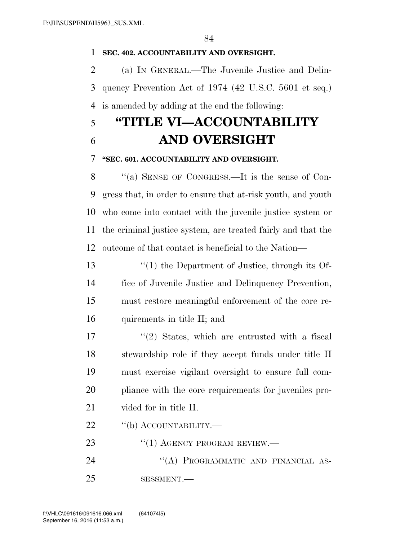### **SEC. 402. ACCOUNTABILITY AND OVERSIGHT.**

 (a) IN GENERAL.—The Juvenile Justice and Delin- quency Prevention Act of 1974 (42 U.S.C. 5601 et seq.) is amended by adding at the end the following:

# **''TITLE VI—ACCOUNTABILITY AND OVERSIGHT**

## **''SEC. 601. ACCOUNTABILITY AND OVERSIGHT.**

 ''(a) SENSE OF CONGRESS.—It is the sense of Con- gress that, in order to ensure that at-risk youth, and youth who come into contact with the juvenile justice system or the criminal justice system, are treated fairly and that the outcome of that contact is beneficial to the Nation—

 ''(1) the Department of Justice, through its Of- fice of Juvenile Justice and Delinquency Prevention, must restore meaningful enforcement of the core re-quirements in title II; and

17 ''(2) States, which are entrusted with a fiscal stewardship role if they accept funds under title II must exercise vigilant oversight to ensure full com- pliance with the core requirements for juveniles pro-21 vided for in title II.

22 "(b) ACCOUNTABILITY.—

- 23 "(1) AGENCY PROGRAM REVIEW.— 24 "(A) PROGRAMMATIC AND FINANCIAL AS-
- 25 SESSMENT.—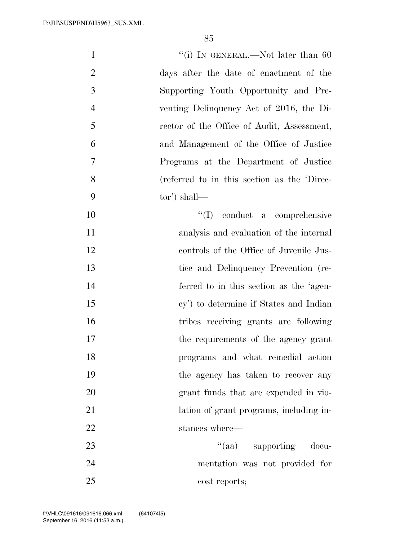| $\mathbf{1}$   | "(i) IN GENERAL.—Not later than $60$       |
|----------------|--------------------------------------------|
| $\overline{2}$ | days after the date of enactment of the    |
| 3              | Supporting Youth Opportunity and Pre-      |
| $\overline{4}$ | venting Delinquency Act of 2016, the Di-   |
| 5              | rector of the Office of Audit, Assessment, |
| 6              | and Management of the Office of Justice    |
| 7              | Programs at the Department of Justice      |
| 8              | (referred to in this section as the Direc- |
| 9              | $tor'$ ) shall—                            |
| 10             | $\lq\lq$ conduct a comprehensive           |
| 11             | analysis and evaluation of the internal    |
| 12             | controls of the Office of Juvenile Jus-    |
| 13             | tice and Delinquency Prevention (re-       |
| 14             | ferred to in this section as the 'agen-    |
| 15             | cy') to determine if States and Indian     |
| 16             | tribes receiving grants are following      |
| 17             | the requirements of the agency grant       |
| 18             | programs and what remedial action          |
| 19             | the agency has taken to recover any        |
| 20             | grant funds that are expended in vio-      |
| 21             | lation of grant programs, including in-    |
| 22             | stances where-                             |
| 23             | "(aa) supporting docu-                     |
| 24             | mentation was not provided for             |
| 25             | cost reports;                              |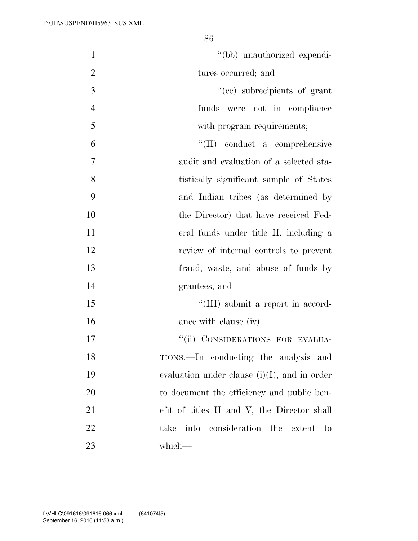| $\mathbf{1}$   | "(bb) unauthorized expendi-                     |
|----------------|-------------------------------------------------|
| $\overline{2}$ | tures occurred; and                             |
| 3              | "(cc) subrecipients of grant                    |
| $\overline{4}$ | funds were not in compliance                    |
| 5              | with program requirements;                      |
| 6              | "(II) conduct a comprehensive                   |
| 7              | audit and evaluation of a selected sta-         |
| 8              | tistically significant sample of States         |
| 9              | and Indian tribes (as determined by             |
| 10             | the Director) that have received Fed-           |
| 11             | eral funds under title II, including a          |
| 12             | review of internal controls to prevent          |
| 13             | fraud, waste, and abuse of funds by             |
| 14             | grantees; and                                   |
| 15             | "(III) submit a report in accord-               |
| 16             | ance with clause (iv).                          |
| 17             | "(ii) CONSIDERATIONS FOR EVALUA-                |
| 18             | TIONS.—In conducting the analysis and           |
| 19             | evaluation under clause $(i)(I)$ , and in order |
| 20             | to document the efficiency and public ben-      |
| 21             | efit of titles II and V, the Director shall     |
| 22             | consideration the extent<br>take<br>into<br>to  |
| 23             | which-                                          |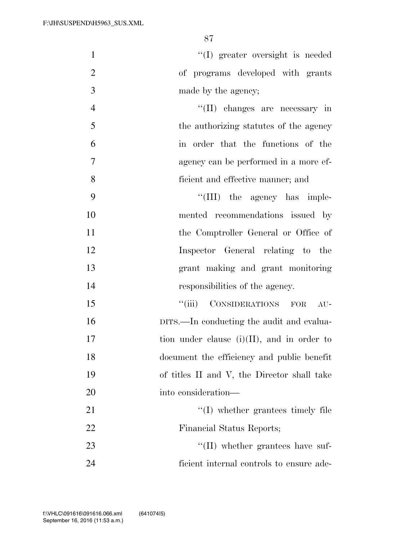| $\mathbf{1}$   | "(I) greater oversight is needed              |
|----------------|-----------------------------------------------|
| $\overline{2}$ | of programs developed with grants             |
| 3              | made by the agency;                           |
| $\overline{4}$ | "(II) changes are necessary in                |
| 5              | the authorizing statutes of the agency        |
| 6              | in order that the functions of the            |
| 7              | agency can be performed in a more ef-         |
| 8              | ficient and effective manner; and             |
| 9              | "(III) the agency has imple-                  |
| 10             | mented recommendations issued by              |
| 11             | the Comptroller General or Office of          |
| 12             | Inspector General relating to the             |
| 13             | grant making and grant monitoring             |
| 14             | responsibilities of the agency.               |
| 15             | CONSIDERATIONS FOR<br>``(iii)<br>AU-          |
| 16             | DITS.—In conducting the audit and evalua-     |
| 17             | tion under clause $(i)(II)$ , and in order to |
| 18             | document the efficiency and public benefit    |
| 19             | of titles II and V, the Director shall take   |
| 20             | into consideration—                           |
| 21             | $\lq$ (I) whether grantees timely file        |
| 22             | Financial Status Reports;                     |
| 23             | $\lq\lq$ (II) whether grantees have suf-      |
| 24             | ficient internal controls to ensure ade-      |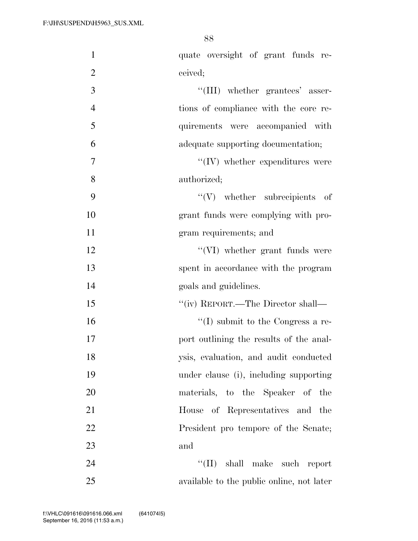| $\mathbf{1}$   | quate oversight of grant funds re-        |
|----------------|-------------------------------------------|
| $\overline{2}$ | ceived;                                   |
| 3              | $``(III)$ whether grantees' asser-        |
| $\overline{4}$ | tions of compliance with the core re-     |
| 5              | quirements were accompanied with          |
| 6              | adequate supporting documentation;        |
| $\tau$         | $\lq\lq$ (IV) whether expenditures were   |
| 8              | authorized;                               |
| 9              | $``(V)$ whether subrecipients of          |
| 10             | grant funds were complying with pro-      |
| 11             | gram requirements; and                    |
| 12             | "(VI) whether grant funds were            |
| 13             | spent in accordance with the program      |
| 14             | goals and guidelines.                     |
| 15             | "(iv) REPORT.—The Director shall—         |
| 16             | $\lq\lq$ (I) submit to the Congress a re- |
| 17             | port outlining the results of the anal-   |
| 18             | ysis, evaluation, and audit conducted     |
| 19             | under clause (i), including supporting    |
| 20             | materials, to the Speaker of the          |
| 21             | House of Representatives and the          |
| 22             | President pro tempore of the Senate;      |
| 23             | and                                       |
| 24             | "(II) shall make such report              |
| 25             | available to the public online, not later |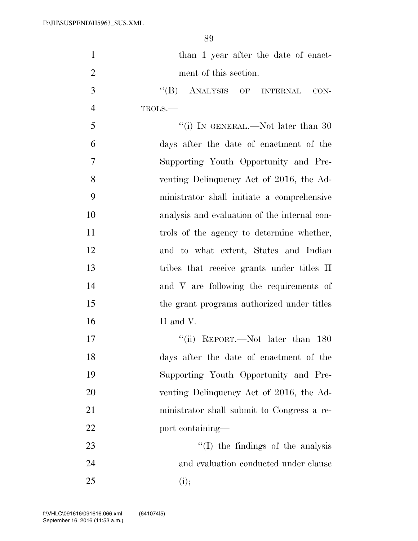| $\mathbf{1}$   | than 1 year after the date of enact-         |
|----------------|----------------------------------------------|
| $\overline{2}$ | ment of this section.                        |
| 3              | "(B) ANALYSIS OF INTERNAL CON-               |
| $\overline{4}$ | TROLS.-                                      |
| 5              | "(i) IN GENERAL.—Not later than 30           |
| 6              | days after the date of enactment of the      |
| $\overline{7}$ | Supporting Youth Opportunity and Pre-        |
| 8              | venting Delinquency Act of 2016, the Ad-     |
| 9              | ministrator shall initiate a comprehensive   |
| 10             | analysis and evaluation of the internal con- |
| 11             | trols of the agency to determine whether,    |
| 12             | and to what extent, States and Indian        |
| 13             | tribes that receive grants under titles II   |
| 14             | and V are following the requirements of      |
| 15             | the grant programs authorized under titles   |
| 16             | II and V.                                    |
| 17             | REPORT.—Not later than 180<br>``(ii)         |
| 18             | days after the date of enactment of the      |
| 19             | Supporting Youth Opportunity and Pre-        |
| 20             | venting Delinquency Act of 2016, the Ad-     |
| 21             | ministrator shall submit to Congress a re-   |
| 22             | port containing—                             |
| 23             | $\lq\lq$ (I) the findings of the analysis    |
| 24             | and evaluation conducted under clause        |
| 25             | (i);                                         |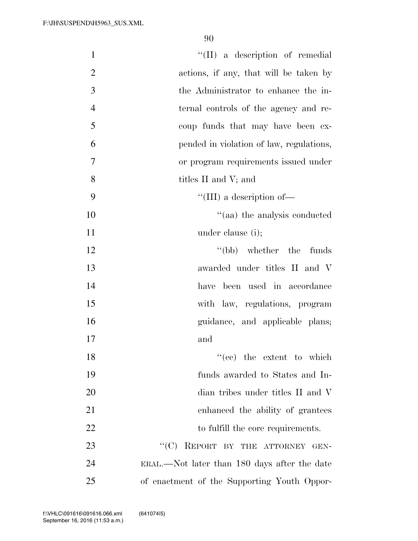| $\mathbf{1}$   | "(II) a description of remedial              |
|----------------|----------------------------------------------|
| $\overline{2}$ | actions, if any, that will be taken by       |
| 3              | the Administrator to enhance the in-         |
| $\overline{4}$ | ternal controls of the agency and re-        |
| 5              | coup funds that may have been ex-            |
| 6              | pended in violation of law, regulations,     |
| 7              | or program requirements issued under         |
| 8              | titles II and V; and                         |
| 9              | "(III) a description of $-$                  |
| 10             | "(aa) the analysis conducted                 |
| 11             | under clause (i);                            |
| 12             | $\lq\lq(bb)$ whether the funds               |
| 13             | awarded under titles II and V                |
| 14             | been used in accordance<br>have              |
| 15             | with law, regulations, program               |
| 16             | guidance, and applicable plans;              |
| 17             | and                                          |
| 18             | $f'(ce)$ the extent to which                 |
| 19             | funds awarded to States and In-              |
| 20             | dian tribes under titles II and V            |
| 21             | enhanced the ability of grantees             |
| 22             | to fulfill the core requirements.            |
| 23             | REPORT BY THE ATTORNEY GEN-<br>``(C)         |
| 24             | ERAL.—Not later than 180 days after the date |
| 25             | of enactment of the Supporting Youth Oppor-  |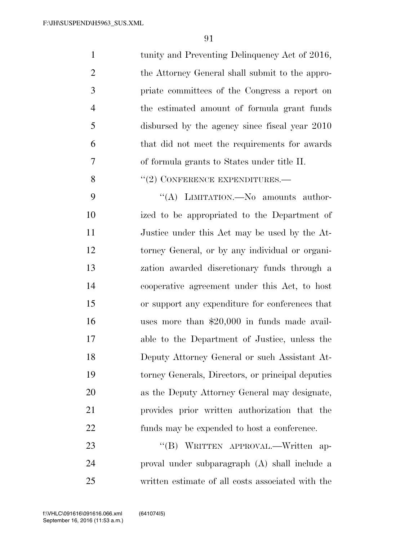| $\mathbf{1}$   | tunity and Preventing Delinquency Act of 2016,    |
|----------------|---------------------------------------------------|
| $\overline{2}$ | the Attorney General shall submit to the appro-   |
| 3              | priate committees of the Congress a report on     |
| $\overline{4}$ | the estimated amount of formula grant funds       |
| 5              | disbursed by the agency since fiscal year 2010    |
| 6              | that did not meet the requirements for awards     |
| 7              | of formula grants to States under title II.       |
| 8              | $``(2)$ CONFERENCE EXPENDITURES.—                 |
| 9              | "(A) LIMITATION. No amounts author-               |
| 10             | ized to be appropriated to the Department of      |
| 11             | Justice under this Act may be used by the At-     |
| 12             | torney General, or by any individual or organi-   |
| 13             | zation awarded discretionary funds through a      |
| 14             | cooperative agreement under this Act, to host     |
| 15             | or support any expenditure for conferences that   |
| 16             | uses more than $$20,000$ in funds made avail-     |
| 17             | able to the Department of Justice, unless the     |
| 18             | Deputy Attorney General or such Assistant At-     |
| 19             | torney Generals, Directors, or principal deputies |
| 20             | as the Deputy Attorney General may designate,     |
| 21             | provides prior written authorization that the     |
| 22             | funds may be expended to host a conference.       |
| 23             | "(B) WRITTEN APPROVAL.—Written ap-                |
| 24             | proval under subparagraph (A) shall include a     |
| 25             | written estimate of all costs associated with the |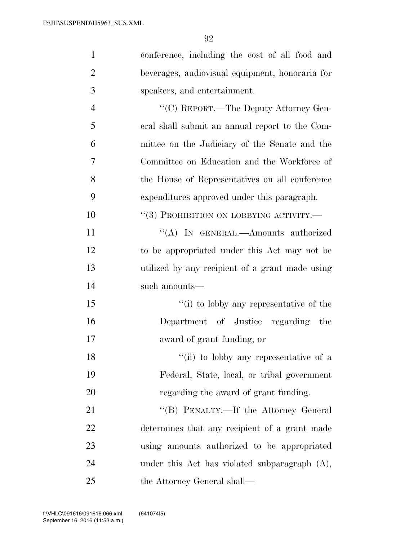| $\mathbf{1}$   | conference, including the cost of all food and   |
|----------------|--------------------------------------------------|
| $\overline{2}$ | beverages, audiovisual equipment, honoraria for  |
| 3              | speakers, and entertainment.                     |
| $\overline{4}$ | "(C) REPORT.—The Deputy Attorney Gen-            |
| 5              | eral shall submit an annual report to the Com-   |
| 6              | mittee on the Judiciary of the Senate and the    |
| 7              | Committee on Education and the Workforce of      |
| 8              | the House of Representatives on all conference   |
| 9              | expenditures approved under this paragraph.      |
| 10             | "(3) PROHIBITION ON LOBBYING ACTIVITY.—          |
| 11             | "(A) IN GENERAL.—Amounts authorized              |
| 12             | to be appropriated under this Act may not be     |
| 13             | utilized by any recipient of a grant made using  |
| 14             | such amounts—                                    |
| 15             | "(i) to lobby any representative of the          |
| 16             | Department of Justice regarding<br>the           |
| 17             | award of grant funding; or                       |
| 18             | "(ii) to lobby any representative of a           |
| 19             | Federal, State, local, or tribal government      |
| 20             | regarding the award of grant funding.            |
| 21             | "(B) PENALTY.—If the Attorney General            |
| 22             | determines that any recipient of a grant made    |
| 23             | using amounts authorized to be appropriated      |
| 24             | under this Act has violated subparagraph $(A)$ , |
| 25             | the Attorney General shall—                      |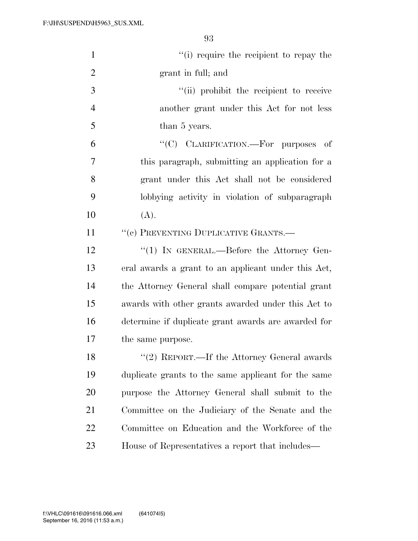| $\mathbf{1}$   | "(i) require the recipient to repay the             |
|----------------|-----------------------------------------------------|
| $\overline{2}$ | grant in full; and                                  |
| 3              | "(ii) prohibit the recipient to receive             |
| $\overline{4}$ | another grant under this Act for not less           |
| 5              | than 5 years.                                       |
| 6              | "(C) CLARIFICATION.—For purposes<br>- of            |
| 7              | this paragraph, submitting an application for a     |
| 8              | grant under this Act shall not be considered        |
| 9              | lobbying activity in violation of subparagraph      |
| 10             | (A).                                                |
| 11             | "(c) PREVENTING DUPLICATIVE GRANTS.—                |
| 12             | "(1) IN GENERAL.—Before the Attorney Gen-           |
| 13             | eral awards a grant to an applicant under this Act, |
| 14             | the Attorney General shall compare potential grant  |
| 15             | awards with other grants awarded under this Act to  |
| 16             | determine if duplicate grant awards are awarded for |
| 17             | the same purpose.                                   |
| 18             | "(2) REPORT.—If the Attorney General awards         |
| 19             | duplicate grants to the same applicant for the same |
| 20             | purpose the Attorney General shall submit to the    |
| 21             | Committee on the Judiciary of the Senate and the    |
| 22             | Committee on Education and the Workforce of the     |
| 23             | House of Representatives a report that includes—    |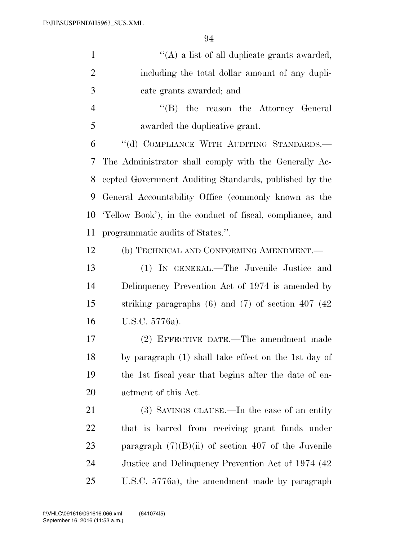| $\mathbf{1}$   | "(A) a list of all duplicate grants awarded,              |
|----------------|-----------------------------------------------------------|
| $\overline{2}$ | including the total dollar amount of any dupli-           |
| 3              | cate grants awarded; and                                  |
| $\overline{4}$ | "(B) the reason the Attorney General                      |
| 5              | awarded the duplicative grant.                            |
| 6              | "(d) COMPLIANCE WITH AUDITING STANDARDS.-                 |
| 7              | The Administrator shall comply with the Generally Ac-     |
| 8              | cepted Government Auditing Standards, published by the    |
| 9              | General Accountability Office (commonly known as the      |
| 10             | 'Yellow Book'), in the conduct of fiscal, compliance, and |
| 11             | programmatic audits of States.".                          |
| 12             | (b) TECHNICAL AND CONFORMING AMENDMENT.—                  |
| 13             | (1) IN GENERAL.—The Juvenile Justice and                  |
| 14             | Delinquency Prevention Act of 1974 is amended by          |
| 15             | striking paragraphs $(6)$ and $(7)$ of section 407 $(42)$ |
| 16             | U.S.C. 5776a).                                            |
| 17             | (2) EFFECTIVE DATE.—The amendment made                    |
| 18             | by paragraph (1) shall take effect on the 1st day of      |
| 19             | the 1st fiscal year that begins after the date of en-     |
| 20             | actment of this Act.                                      |
| 21             | $(3)$ SAVINGS CLAUSE.—In the case of an entity            |
| 22             | that is barred from receiving grant funds under           |
| 23             | paragraph $(7)(B)(ii)$ of section 407 of the Juvenile     |
| 24             | Justice and Delinquency Prevention Act of 1974 (42)       |
| 25             | U.S.C. 5776a), the amendment made by paragraph            |
|                |                                                           |